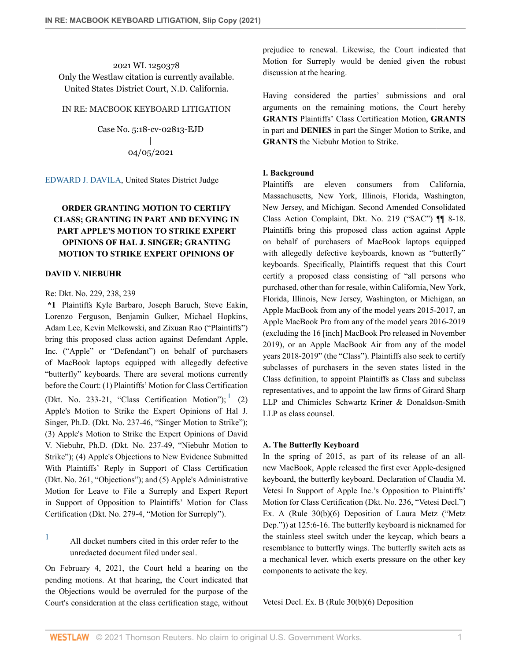2021 WL 1250378 Only the Westlaw citation is currently available. United States District Court, N.D. California.

## IN RE: MACBOOK KEYBOARD LITIGATION

Case No. 5:18-cv-02813-EJD | 04/05/2021

[EDWARD J. DAVILA](http://www.westlaw.com/Link/Document/FullText?findType=h&pubNum=176284&cite=0121361101&originatingDoc=Ia6bed280969111ebbbbbabec583fa227&refType=RQ&originationContext=document&vr=3.0&rs=cblt1.0&transitionType=DocumentItem&contextData=(sc.Keycite)), United States District Judge

# **ORDER GRANTING MOTION TO CERTIFY CLASS; GRANTING IN PART AND DENYING IN PART APPLE'S MOTION TO STRIKE EXPERT OPINIONS OF HAL J. SINGER; GRANTING MOTION TO STRIKE EXPERT OPINIONS OF**

## **DAVID V. NIEBUHR**

# Re: Dkt. No. 229, 238, 239

**\*1** Plaintiffs Kyle Barbaro, Joseph Baruch, Steve Eakin, Lorenzo Ferguson, Benjamin Gulker, Michael Hopkins, Adam Lee, Kevin Melkowski, and Zixuan Rao ("Plaintiffs") bring this proposed class action against Defendant Apple, Inc. ("Apple" or "Defendant") on behalf of purchasers of MacBook laptops equipped with allegedly defective "butterfly" keyboards. There are several motions currently before the Court: (1) Plaintiffs' Motion for Class Certification (Dkt. No. 233-2[1](#page-0-0), "Class Certification Motion");  $(2)$ Apple's Motion to Strike the Expert Opinions of Hal J. Singer, Ph.D. (Dkt. No. 237-46, "Singer Motion to Strike"); (3) Apple's Motion to Strike the Expert Opinions of David V. Niebuhr, Ph.D. (Dkt. No. 237-49, "Niebuhr Motion to Strike"); (4) Apple's Objections to New Evidence Submitted With Plaintiffs' Reply in Support of Class Certification (Dkt. No. 261, "Objections"); and (5) Apple's Administrative Motion for Leave to File a Surreply and Expert Report in Support of Opposition to Plaintiffs' Motion for Class Certification (Dkt. No. 279-4, "Motion for Surreply").

# <span id="page-0-0"></span> $1$  All docket numbers cited in this order refer to the unredacted document filed under seal.

On February 4, 2021, the Court held a hearing on the pending motions. At that hearing, the Court indicated that the Objections would be overruled for the purpose of the Court's consideration at the class certification stage, without prejudice to renewal. Likewise, the Court indicated that Motion for Surreply would be denied given the robust discussion at the hearing.

Having considered the parties' submissions and oral arguments on the remaining motions, the Court hereby **GRANTS** Plaintiffs' Class Certification Motion, **GRANTS** in part and **DENIES** in part the Singer Motion to Strike, and **GRANTS** the Niebuhr Motion to Strike.

## **I. Background**

Plaintiffs are eleven consumers from California, Massachusetts, New York, Illinois, Florida, Washington, New Jersey, and Michigan. Second Amended Consolidated Class Action Complaint, Dkt. No. 219 ("SAC") ¶¶ 8-18. Plaintiffs bring this proposed class action against Apple on behalf of purchasers of MacBook laptops equipped with allegedly defective keyboards, known as "butterfly" keyboards. Specifically, Plaintiffs request that this Court certify a proposed class consisting of "all persons who purchased, other than for resale, within California, New York, Florida, Illinois, New Jersey, Washington, or Michigan, an Apple MacBook from any of the model years 2015-2017, an Apple MacBook Pro from any of the model years 2016-2019 (excluding the 16 [inch] MacBook Pro released in November 2019), or an Apple MacBook Air from any of the model years 2018-2019" (the "Class"). Plaintiffs also seek to certify subclasses of purchasers in the seven states listed in the Class definition, to appoint Plaintiffs as Class and subclass representatives, and to appoint the law firms of Girard Sharp LLP and Chimicles Schwartz Kriner & Donaldson-Smith LLP as class counsel.

## <span id="page-0-1"></span>**A. The Butterfly Keyboard**

In the spring of 2015, as part of its release of an allnew MacBook, Apple released the first ever Apple-designed keyboard, the butterfly keyboard. Declaration of Claudia M. Vetesi In Support of Apple Inc.'s Opposition to Plaintiffs' Motion for Class Certification (Dkt. No. 236, "Vetesi Decl.") Ex. A (Rule 30(b)(6) Deposition of Laura Metz ("Metz Dep.")) at 125:6-16. The butterfly keyboard is nicknamed for the stainless steel switch under the keycap, which bears a resemblance to butterfly wings. The butterfly switch acts as a mechanical lever, which exerts pressure on the other key components to activate the key.

Vetesi Decl. Ex. B (Rule 30(b)(6) Deposition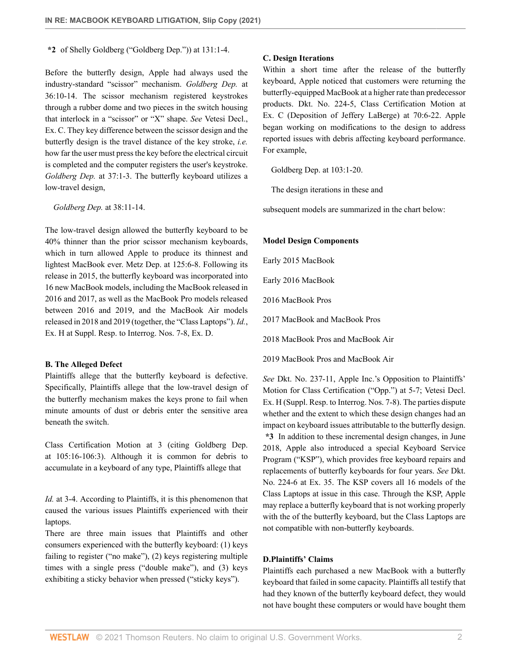**\*2** of Shelly Goldberg ("Goldberg Dep.")) at 131:1-4.

Before the butterfly design, Apple had always used the industry-standard "scissor" mechanism. *Goldberg Dep.* at 36:10-14. The scissor mechanism registered keystrokes through a rubber dome and two pieces in the switch housing that interlock in a "scissor" or "X" shape. *See* Vetesi Decl., Ex. C. They key difference between the scissor design and the butterfly design is the travel distance of the key stroke, *i.e.* how far the user must press the key before the electrical circuit is completed and the computer registers the user's keystroke. *Goldberg Dep.* at 37:1-3. The butterfly keyboard utilizes a low-travel design,

*Goldberg Dep.* at 38:11-14.

The low-travel design allowed the butterfly keyboard to be 40% thinner than the prior scissor mechanism keyboards, which in turn allowed Apple to produce its thinnest and lightest MacBook ever. Metz Dep. at 125:6-8. Following its release in 2015, the butterfly keyboard was incorporated into 16 new MacBook models, including the MacBook released in 2016 and 2017, as well as the MacBook Pro models released between 2016 and 2019, and the MacBook Air models released in 2018 and 2019 (together, the "Class Laptops"). *Id.*, Ex. H at Suppl. Resp. to Interrog. Nos. 7-8, Ex. D.

#### **B. The Alleged Defect**

Plaintiffs allege that the butterfly keyboard is defective. Specifically, Plaintiffs allege that the low-travel design of the butterfly mechanism makes the keys prone to fail when minute amounts of dust or debris enter the sensitive area beneath the switch.

Class Certification Motion at 3 (citing Goldberg Dep. at 105:16-106:3). Although it is common for debris to accumulate in a keyboard of any type, Plaintiffs allege that

*Id.* at 3-4. According to Plaintiffs, it is this phenomenon that caused the various issues Plaintiffs experienced with their laptops.

There are three main issues that Plaintiffs and other consumers experienced with the butterfly keyboard: (1) keys failing to register ("no make"), (2) keys registering multiple times with a single press ("double make"), and (3) keys exhibiting a sticky behavior when pressed ("sticky keys").

#### **C. Design Iterations**

Within a short time after the release of the butterfly keyboard, Apple noticed that customers were returning the butterfly-equipped MacBook at a higher rate than predecessor products. Dkt. No. 224-5, Class Certification Motion at Ex. C (Deposition of Jeffery LaBerge) at 70:6-22. Apple began working on modifications to the design to address reported issues with debris affecting keyboard performance. For example,

Goldberg Dep. at 103:1-20.

The design iterations in these and

subsequent models are summarized in the chart below:

#### **Model Design Components**

Early 2015 MacBook

Early 2016 MacBook

2016 MacBook Pros

2017 MacBook and MacBook Pros

2018 MacBook Pros and MacBook Air

2019 MacBook Pros and MacBook Air

*See* Dkt. No. 237-11, Apple Inc.'s Opposition to Plaintiffs' Motion for Class Certification ("Opp.") at 5-7; Vetesi Decl. Ex. H (Suppl. Resp. to Interrog. Nos. 7-8). The parties dispute whether and the extent to which these design changes had an impact on keyboard issues attributable to the butterfly design. **\*3** In addition to these incremental design changes, in June 2018, Apple also introduced a special Keyboard Service Program ("KSP"), which provides free keyboard repairs and replacements of butterfly keyboards for four years. *See* Dkt. No. 224-6 at Ex. 35. The KSP covers all 16 models of the Class Laptops at issue in this case. Through the KSP, Apple may replace a butterfly keyboard that is not working properly with the of the butterfly keyboard, but the Class Laptops are not compatible with non-butterfly keyboards.

## **D.Plaintiffs' Claims**

Plaintiffs each purchased a new MacBook with a butterfly keyboard that failed in some capacity. Plaintiffs all testify that had they known of the butterfly keyboard defect, they would not have bought these computers or would have bought them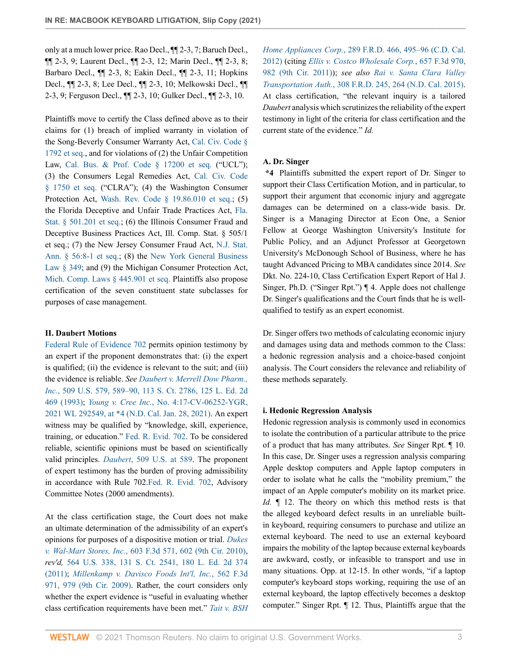only at a much lower price. Rao Decl., ¶¶ 2-3, 7; Baruch Decl., ¶¶ 2-3, 9; Laurent Decl., ¶¶ 2-3, 12; Marin Decl., ¶¶ 2-3, 8; Barbaro Decl., ¶¶ 2-3, 8; Eakin Decl., ¶¶ 2-3, 11; Hopkins Decl., ¶¶ 2-3, 8; Lee Decl., ¶¶ 2-3, 10; Melkowski Decl., ¶¶ 2-3, 9; Ferguson Decl., ¶¶ 2-3, 10; Gulker Decl., ¶¶ 2-3, 10.

Plaintiffs move to certify the Class defined above as to their claims for (1) breach of implied warranty in violation of the Song-Beverly Consumer Warranty Act, [Cal. Civ. Code §](http://www.westlaw.com/Link/Document/FullText?findType=L&pubNum=1000200&cite=CACIS1792&originatingDoc=Ia6bed280969111ebbbbbabec583fa227&refType=LQ&originationContext=document&vr=3.0&rs=cblt1.0&transitionType=DocumentItem&contextData=(sc.Keycite)) [1792 et seq.,](http://www.westlaw.com/Link/Document/FullText?findType=L&pubNum=1000200&cite=CACIS1792&originatingDoc=Ia6bed280969111ebbbbbabec583fa227&refType=LQ&originationContext=document&vr=3.0&rs=cblt1.0&transitionType=DocumentItem&contextData=(sc.Keycite)) and for violations of (2) the Unfair Competition Law, [Cal. Bus. & Prof. Code § 17200 et seq.](http://www.westlaw.com/Link/Document/FullText?findType=L&pubNum=1000199&cite=CABPS17200&originatingDoc=Ia6bed280969111ebbbbbabec583fa227&refType=LQ&originationContext=document&vr=3.0&rs=cblt1.0&transitionType=DocumentItem&contextData=(sc.Keycite)) ("UCL"); (3) the Consumers Legal Remedies Act, [Cal. Civ. Code](http://www.westlaw.com/Link/Document/FullText?findType=L&pubNum=1000200&cite=CACIS1750&originatingDoc=Ia6bed280969111ebbbbbabec583fa227&refType=LQ&originationContext=document&vr=3.0&rs=cblt1.0&transitionType=DocumentItem&contextData=(sc.Keycite)) [§ 1750 et seq.](http://www.westlaw.com/Link/Document/FullText?findType=L&pubNum=1000200&cite=CACIS1750&originatingDoc=Ia6bed280969111ebbbbbabec583fa227&refType=LQ&originationContext=document&vr=3.0&rs=cblt1.0&transitionType=DocumentItem&contextData=(sc.Keycite)) ("CLRA"); (4) the Washington Consumer Protection Act, [Wash. Rev. Code § 19.86.010 et seq.](http://www.westlaw.com/Link/Document/FullText?findType=L&pubNum=1000259&cite=WAST19.86.010&originatingDoc=Ia6bed280969111ebbbbbabec583fa227&refType=LQ&originationContext=document&vr=3.0&rs=cblt1.0&transitionType=DocumentItem&contextData=(sc.Keycite)); (5) the Florida Deceptive and Unfair Trade Practices Act, [Fla.](http://www.westlaw.com/Link/Document/FullText?findType=L&pubNum=1000006&cite=FLSTS501.201&originatingDoc=Ia6bed280969111ebbbbbabec583fa227&refType=LQ&originationContext=document&vr=3.0&rs=cblt1.0&transitionType=DocumentItem&contextData=(sc.Keycite)) [Stat. § 501.201 et seq.;](http://www.westlaw.com/Link/Document/FullText?findType=L&pubNum=1000006&cite=FLSTS501.201&originatingDoc=Ia6bed280969111ebbbbbabec583fa227&refType=LQ&originationContext=document&vr=3.0&rs=cblt1.0&transitionType=DocumentItem&contextData=(sc.Keycite)) (6) the Illinois Consumer Fraud and Deceptive Business Practices Act, Ill. Comp. Stat. § 505/1 et seq.; (7) the New Jersey Consumer Fraud Act, [N.J. Stat.](http://www.westlaw.com/Link/Document/FullText?findType=L&pubNum=1000045&cite=NJST56%3a8-1&originatingDoc=Ia6bed280969111ebbbbbabec583fa227&refType=LQ&originationContext=document&vr=3.0&rs=cblt1.0&transitionType=DocumentItem&contextData=(sc.Keycite)) [Ann. § 56:8-1 et seq.;](http://www.westlaw.com/Link/Document/FullText?findType=L&pubNum=1000045&cite=NJST56%3a8-1&originatingDoc=Ia6bed280969111ebbbbbabec583fa227&refType=LQ&originationContext=document&vr=3.0&rs=cblt1.0&transitionType=DocumentItem&contextData=(sc.Keycite)) (8) the [New York General Business](http://www.westlaw.com/Link/Document/FullText?findType=L&pubNum=1000081&cite=NYGBS349&originatingDoc=Ia6bed280969111ebbbbbabec583fa227&refType=LQ&originationContext=document&vr=3.0&rs=cblt1.0&transitionType=DocumentItem&contextData=(sc.Keycite)) [Law § 349;](http://www.westlaw.com/Link/Document/FullText?findType=L&pubNum=1000081&cite=NYGBS349&originatingDoc=Ia6bed280969111ebbbbbabec583fa227&refType=LQ&originationContext=document&vr=3.0&rs=cblt1.0&transitionType=DocumentItem&contextData=(sc.Keycite)) and (9) the Michigan Consumer Protection Act, [Mich. Comp. Laws § 445.901 et seq.](http://www.westlaw.com/Link/Document/FullText?findType=L&pubNum=1000043&cite=MIST445.901&originatingDoc=Ia6bed280969111ebbbbbabec583fa227&refType=LQ&originationContext=document&vr=3.0&rs=cblt1.0&transitionType=DocumentItem&contextData=(sc.Keycite)) Plaintiffs also propose certification of the seven constituent state subclasses for purposes of case management.

## **II. Daubert Motions**

[Federal Rule of Evidence 702](http://www.westlaw.com/Link/Document/FullText?findType=L&pubNum=1000607&cite=USFRER702&originatingDoc=Ia6bed280969111ebbbbbabec583fa227&refType=LQ&originationContext=document&vr=3.0&rs=cblt1.0&transitionType=DocumentItem&contextData=(sc.Keycite)) permits opinion testimony by an expert if the proponent demonstrates that: (i) the expert is qualified; (ii) the evidence is relevant to the suit; and (iii) the evidence is reliable. *See [Daubert v. Merrell Dow Pharm.,](http://www.westlaw.com/Link/Document/FullText?findType=Y&serNum=1993130674&pubNum=0000780&originatingDoc=Ia6bed280969111ebbbbbabec583fa227&refType=RP&fi=co_pp_sp_780_589&originationContext=document&vr=3.0&rs=cblt1.0&transitionType=DocumentItem&contextData=(sc.Keycite)#co_pp_sp_780_589) Inc.*[, 509 U.S. 579, 589–90, 113 S. Ct. 2786, 125 L. Ed. 2d](http://www.westlaw.com/Link/Document/FullText?findType=Y&serNum=1993130674&pubNum=0000780&originatingDoc=Ia6bed280969111ebbbbbabec583fa227&refType=RP&fi=co_pp_sp_780_589&originationContext=document&vr=3.0&rs=cblt1.0&transitionType=DocumentItem&contextData=(sc.Keycite)#co_pp_sp_780_589) [469 \(1993\)](http://www.westlaw.com/Link/Document/FullText?findType=Y&serNum=1993130674&pubNum=0000780&originatingDoc=Ia6bed280969111ebbbbbabec583fa227&refType=RP&fi=co_pp_sp_780_589&originationContext=document&vr=3.0&rs=cblt1.0&transitionType=DocumentItem&contextData=(sc.Keycite)#co_pp_sp_780_589); *Young v. Cree Inc.*[, No. 4:17-CV-06252-YGR,](http://www.westlaw.com/Link/Document/FullText?findType=Y&serNum=2052862680&pubNum=0000999&originatingDoc=Ia6bed280969111ebbbbbabec583fa227&refType=RP&originationContext=document&vr=3.0&rs=cblt1.0&transitionType=DocumentItem&contextData=(sc.Keycite)) [2021 WL 292549, at \\*4 \(N.D. Cal. Jan. 28, 2021\)](http://www.westlaw.com/Link/Document/FullText?findType=Y&serNum=2052862680&pubNum=0000999&originatingDoc=Ia6bed280969111ebbbbbabec583fa227&refType=RP&originationContext=document&vr=3.0&rs=cblt1.0&transitionType=DocumentItem&contextData=(sc.Keycite)). An expert witness may be qualified by "knowledge, skill, experience, training, or education." [Fed. R. Evid. 702](http://www.westlaw.com/Link/Document/FullText?findType=L&pubNum=1000607&cite=USFRER702&originatingDoc=Ia6bed280969111ebbbbbabec583fa227&refType=LQ&originationContext=document&vr=3.0&rs=cblt1.0&transitionType=DocumentItem&contextData=(sc.Keycite)). To be considered reliable, scientific opinions must be based on scientifically valid principles. *Daubert*[, 509 U.S. at 589](http://www.westlaw.com/Link/Document/FullText?findType=Y&serNum=1993130674&pubNum=0000780&originatingDoc=Ia6bed280969111ebbbbbabec583fa227&refType=RP&fi=co_pp_sp_780_589&originationContext=document&vr=3.0&rs=cblt1.0&transitionType=DocumentItem&contextData=(sc.Keycite)#co_pp_sp_780_589). The proponent of expert testimony has the burden of proving admissibility in accordance with Rule 702.[Fed. R. Evid. 702](http://www.westlaw.com/Link/Document/FullText?findType=L&pubNum=1000607&cite=USFRER702&originatingDoc=Ia6bed280969111ebbbbbabec583fa227&refType=LQ&originationContext=document&vr=3.0&rs=cblt1.0&transitionType=DocumentItem&contextData=(sc.Keycite)), Advisory Committee Notes (2000 amendments).

At the class certification stage, the Court does not make an ultimate determination of the admissibility of an expert's opinions for purposes of a dispositive motion or trial. *[Dukes](http://www.westlaw.com/Link/Document/FullText?findType=Y&serNum=2021835517&pubNum=0000506&originatingDoc=Ia6bed280969111ebbbbbabec583fa227&refType=RP&fi=co_pp_sp_506_602&originationContext=document&vr=3.0&rs=cblt1.0&transitionType=DocumentItem&contextData=(sc.Keycite)#co_pp_sp_506_602) v. Wal-Mart Stores, Inc.*[, 603 F.3d 571, 602 \(9th Cir. 2010\)](http://www.westlaw.com/Link/Document/FullText?findType=Y&serNum=2021835517&pubNum=0000506&originatingDoc=Ia6bed280969111ebbbbbabec583fa227&refType=RP&fi=co_pp_sp_506_602&originationContext=document&vr=3.0&rs=cblt1.0&transitionType=DocumentItem&contextData=(sc.Keycite)#co_pp_sp_506_602), *rev'd,* [564 U.S. 338, 131 S. Ct. 2541, 180 L. Ed. 2d 374](http://www.westlaw.com/Link/Document/FullText?findType=Y&serNum=2025520221&pubNum=0000708&originatingDoc=Ia6bed280969111ebbbbbabec583fa227&refType=RP&originationContext=document&vr=3.0&rs=cblt1.0&transitionType=DocumentItem&contextData=(sc.Keycite)) [\(2011\)](http://www.westlaw.com/Link/Document/FullText?findType=Y&serNum=2025520221&pubNum=0000708&originatingDoc=Ia6bed280969111ebbbbbabec583fa227&refType=RP&originationContext=document&vr=3.0&rs=cblt1.0&transitionType=DocumentItem&contextData=(sc.Keycite)); *[Millenkamp v. Davisco Foods Int'l, Inc.](http://www.westlaw.com/Link/Document/FullText?findType=Y&serNum=2018590376&pubNum=0000506&originatingDoc=Ia6bed280969111ebbbbbabec583fa227&refType=RP&fi=co_pp_sp_506_979&originationContext=document&vr=3.0&rs=cblt1.0&transitionType=DocumentItem&contextData=(sc.Keycite)#co_pp_sp_506_979)*, 562 F.3d [971, 979 \(9th Cir. 2009\)](http://www.westlaw.com/Link/Document/FullText?findType=Y&serNum=2018590376&pubNum=0000506&originatingDoc=Ia6bed280969111ebbbbbabec583fa227&refType=RP&fi=co_pp_sp_506_979&originationContext=document&vr=3.0&rs=cblt1.0&transitionType=DocumentItem&contextData=(sc.Keycite)#co_pp_sp_506_979). Rather, the court considers only whether the expert evidence is "useful in evaluating whether class certification requirements have been met." *[Tait v. BSH](http://www.westlaw.com/Link/Document/FullText?findType=Y&serNum=2029525838&pubNum=0000344&originatingDoc=Ia6bed280969111ebbbbbabec583fa227&refType=RP&fi=co_pp_sp_344_495&originationContext=document&vr=3.0&rs=cblt1.0&transitionType=DocumentItem&contextData=(sc.Keycite)#co_pp_sp_344_495)* *Home Appliances Corp.*[, 289 F.R.D. 466, 495–96 \(C.D. Cal.](http://www.westlaw.com/Link/Document/FullText?findType=Y&serNum=2029525838&pubNum=0000344&originatingDoc=Ia6bed280969111ebbbbbabec583fa227&refType=RP&fi=co_pp_sp_344_495&originationContext=document&vr=3.0&rs=cblt1.0&transitionType=DocumentItem&contextData=(sc.Keycite)#co_pp_sp_344_495) [2012\)](http://www.westlaw.com/Link/Document/FullText?findType=Y&serNum=2029525838&pubNum=0000344&originatingDoc=Ia6bed280969111ebbbbbabec583fa227&refType=RP&fi=co_pp_sp_344_495&originationContext=document&vr=3.0&rs=cblt1.0&transitionType=DocumentItem&contextData=(sc.Keycite)#co_pp_sp_344_495) (citing *[Ellis v. Costco Wholesale Corp.](http://www.westlaw.com/Link/Document/FullText?findType=Y&serNum=2026166099&pubNum=0000506&originatingDoc=Ia6bed280969111ebbbbbabec583fa227&refType=RP&fi=co_pp_sp_506_982&originationContext=document&vr=3.0&rs=cblt1.0&transitionType=DocumentItem&contextData=(sc.Keycite)#co_pp_sp_506_982)*, 657 F.3d 970, [982 \(9th Cir. 2011\)](http://www.westlaw.com/Link/Document/FullText?findType=Y&serNum=2026166099&pubNum=0000506&originatingDoc=Ia6bed280969111ebbbbbabec583fa227&refType=RP&fi=co_pp_sp_506_982&originationContext=document&vr=3.0&rs=cblt1.0&transitionType=DocumentItem&contextData=(sc.Keycite)#co_pp_sp_506_982)); *see also [Rai v. Santa Clara Valley](http://www.westlaw.com/Link/Document/FullText?findType=Y&serNum=2035536219&pubNum=0000344&originatingDoc=Ia6bed280969111ebbbbbabec583fa227&refType=RP&fi=co_pp_sp_344_264&originationContext=document&vr=3.0&rs=cblt1.0&transitionType=DocumentItem&contextData=(sc.Keycite)#co_pp_sp_344_264) Transportation Auth.*[, 308 F.R.D. 245, 264 \(N.D. Cal. 2015\)](http://www.westlaw.com/Link/Document/FullText?findType=Y&serNum=2035536219&pubNum=0000344&originatingDoc=Ia6bed280969111ebbbbbabec583fa227&refType=RP&fi=co_pp_sp_344_264&originationContext=document&vr=3.0&rs=cblt1.0&transitionType=DocumentItem&contextData=(sc.Keycite)#co_pp_sp_344_264). At class certification, "the relevant inquiry is a tailored *Daubert* analysis which scrutinizes the reliability of the expert testimony in light of the criteria for class certification and the current state of the evidence." *Id.*

## **A. Dr. Singer**

**\*4** Plaintiffs submitted the expert report of Dr. Singer to support their Class Certification Motion, and in particular, to support their argument that economic injury and aggregate damages can be determined on a class-wide basis. Dr. Singer is a Managing Director at Econ One, a Senior Fellow at George Washington University's Institute for Public Policy, and an Adjunct Professor at Georgetown University's McDonough School of Business, where he has taught Advanced Pricing to MBA candidates since 2014. *See* Dkt. No. 224-10, Class Certification Expert Report of Hal J. Singer, Ph.D. ("Singer Rpt.") ¶ 4. Apple does not challenge Dr. Singer's qualifications and the Court finds that he is wellqualified to testify as an expert economist.

Dr. Singer offers two methods of calculating economic injury and damages using data and methods common to the Class: a hedonic regression analysis and a choice-based conjoint analysis. The Court considers the relevance and reliability of these methods separately.

#### **i. Hedonic Regression Analysis**

Hedonic regression analysis is commonly used in economics to isolate the contribution of a particular attribute to the price of a product that has many attributes. *See* Singer Rpt. ¶ 10. In this case, Dr. Singer uses a regression analysis comparing Apple desktop computers and Apple laptop computers in order to isolate what he calls the "mobility premium," the impact of an Apple computer's mobility on its market price. *Id.*  $\parallel$  12. The theory on which this method rests is that the alleged keyboard defect results in an unreliable builtin keyboard, requiring consumers to purchase and utilize an external keyboard. The need to use an external keyboard impairs the mobility of the laptop because external keyboards are awkward, costly, or infeasible to transport and use in many situations. Opp. at 12-15. In other words, "if a laptop computer's keyboard stops working, requiring the use of an external keyboard, the laptop effectively becomes a desktop computer." Singer Rpt. ¶ 12. Thus, Plaintiffs argue that the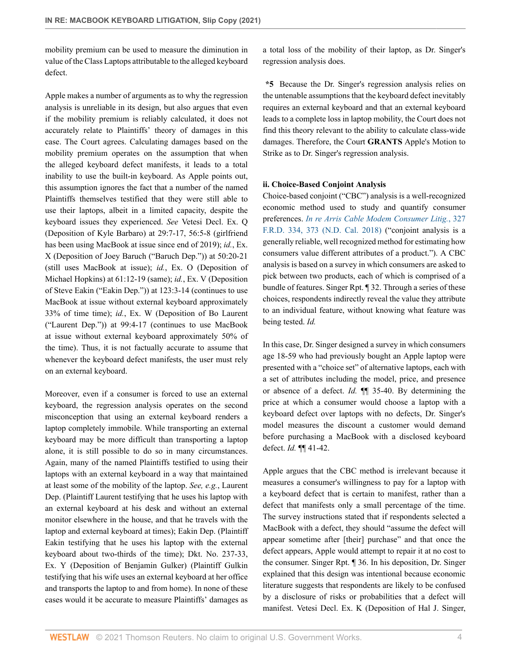mobility premium can be used to measure the diminution in value of the Class Laptops attributable to the alleged keyboard defect.

Apple makes a number of arguments as to why the regression analysis is unreliable in its design, but also argues that even if the mobility premium is reliably calculated, it does not accurately relate to Plaintiffs' theory of damages in this case. The Court agrees. Calculating damages based on the mobility premium operates on the assumption that when the alleged keyboard defect manifests, it leads to a total inability to use the built-in keyboard. As Apple points out, this assumption ignores the fact that a number of the named Plaintiffs themselves testified that they were still able to use their laptops, albeit in a limited capacity, despite the keyboard issues they experienced. *See* Vetesi Decl. Ex. Q (Deposition of Kyle Barbaro) at 29:7-17, 56:5-8 (girlfriend has been using MacBook at issue since end of 2019); *id.*, Ex. X (Deposition of Joey Baruch ("Baruch Dep.")) at 50:20-21 (still uses MacBook at issue); *id.*, Ex. O (Deposition of Michael Hopkins) at 61:12-19 (same); *id.*, Ex. V (Deposition of Steve Eakin ("Eakin Dep.")) at 123:3-14 (continues to use MacBook at issue without external keyboard approximately 33% of time time); *id.*, Ex. W (Deposition of Bo Laurent ("Laurent Dep.")) at 99:4-17 (continues to use MacBook at issue without external keyboard approximately 50% of the time). Thus, it is not factually accurate to assume that whenever the keyboard defect manifests, the user must rely on an external keyboard.

Moreover, even if a consumer is forced to use an external keyboard, the regression analysis operates on the second misconception that using an external keyboard renders a laptop completely immobile. While transporting an external keyboard may be more difficult than transporting a laptop alone, it is still possible to do so in many circumstances. Again, many of the named Plaintiffs testified to using their laptops with an external keyboard in a way that maintained at least some of the mobility of the laptop. *See, e.g.*, Laurent Dep. (Plaintiff Laurent testifying that he uses his laptop with an external keyboard at his desk and without an external monitor elsewhere in the house, and that he travels with the laptop and external keyboard at times); Eakin Dep. (Plaintiff Eakin testifying that he uses his laptop with the external keyboard about two-thirds of the time); Dkt. No. 237-33, Ex. Y (Deposition of Benjamin Gulker) (Plaintiff Gulkin testifying that his wife uses an external keyboard at her office and transports the laptop to and from home). In none of these cases would it be accurate to measure Plaintiffs' damages as

a total loss of the mobility of their laptop, as Dr. Singer's regression analysis does.

**\*5** Because the Dr. Singer's regression analysis relies on the untenable assumptions that the keyboard defect inevitably requires an external keyboard and that an external keyboard leads to a complete loss in laptop mobility, the Court does not find this theory relevant to the ability to calculate class-wide damages. Therefore, the Court **GRANTS** Apple's Motion to Strike as to Dr. Singer's regression analysis.

#### **ii. Choice-Based Conjoint Analysis**

Choice-based conjoint ("CBC") analysis is a well-recognized economic method used to study and quantify consumer preferences. *[In re Arris Cable Modem Consumer Litig.](http://www.westlaw.com/Link/Document/FullText?findType=Y&serNum=2045258506&pubNum=0000344&originatingDoc=Ia6bed280969111ebbbbbabec583fa227&refType=RP&fi=co_pp_sp_344_373&originationContext=document&vr=3.0&rs=cblt1.0&transitionType=DocumentItem&contextData=(sc.Keycite)#co_pp_sp_344_373)*, 327 [F.R.D. 334, 373 \(N.D. Cal. 2018\)](http://www.westlaw.com/Link/Document/FullText?findType=Y&serNum=2045258506&pubNum=0000344&originatingDoc=Ia6bed280969111ebbbbbabec583fa227&refType=RP&fi=co_pp_sp_344_373&originationContext=document&vr=3.0&rs=cblt1.0&transitionType=DocumentItem&contextData=(sc.Keycite)#co_pp_sp_344_373) ("conjoint analysis is a generally reliable, well recognized method for estimating how consumers value different attributes of a product."). A CBC analysis is based on a survey in which consumers are asked to pick between two products, each of which is comprised of a bundle of features. Singer Rpt. ¶ 32. Through a series of these choices, respondents indirectly reveal the value they attribute to an individual feature, without knowing what feature was being tested. *Id.*

In this case, Dr. Singer designed a survey in which consumers age 18-59 who had previously bought an Apple laptop were presented with a "choice set" of alternative laptops, each with a set of attributes including the model, price, and presence or absence of a defect. *Id.* ¶¶ 35-40. By determining the price at which a consumer would choose a laptop with a keyboard defect over laptops with no defects, Dr. Singer's model measures the discount a customer would demand before purchasing a MacBook with a disclosed keyboard defect. *Id.* ¶¶ 41-42.

Apple argues that the CBC method is irrelevant because it measures a consumer's willingness to pay for a laptop with a keyboard defect that is certain to manifest, rather than a defect that manifests only a small percentage of the time. The survey instructions stated that if respondents selected a MacBook with a defect, they should "assume the defect will appear sometime after [their] purchase" and that once the defect appears, Apple would attempt to repair it at no cost to the consumer. Singer Rpt. ¶ 36. In his deposition, Dr. Singer explained that this design was intentional because economic literature suggests that respondents are likely to be confused by a disclosure of risks or probabilities that a defect will manifest. Vetesi Decl. Ex. K (Deposition of Hal J. Singer,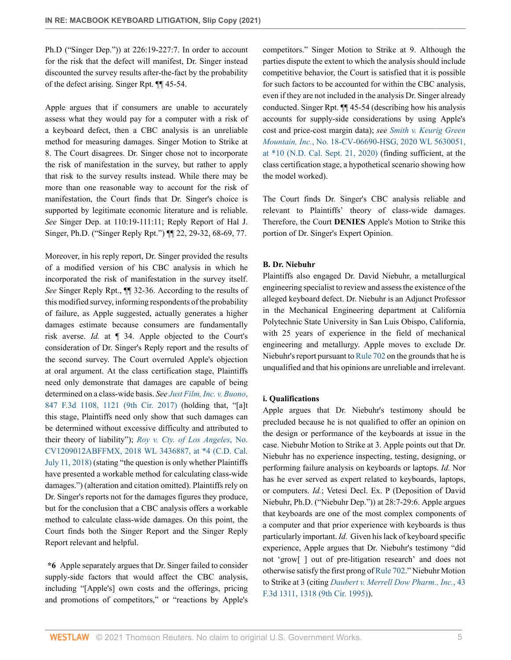Ph.D ("Singer Dep.")) at 226:19-227:7. In order to account for the risk that the defect will manifest, Dr. Singer instead discounted the survey results after-the-fact by the probability of the defect arising. Singer Rpt. ¶¶ 45-54.

Apple argues that if consumers are unable to accurately assess what they would pay for a computer with a risk of a keyboard defect, then a CBC analysis is an unreliable method for measuring damages. Singer Motion to Strike at 8. The Court disagrees. Dr. Singer chose not to incorporate the risk of manifestation in the survey, but rather to apply that risk to the survey results instead. While there may be more than one reasonable way to account for the risk of manifestation, the Court finds that Dr. Singer's choice is supported by legitimate economic literature and is reliable. *See* Singer Dep. at 110:19-111:11; Reply Report of Hal J. Singer, Ph.D. ("Singer Reply Rpt.") ¶¶ 22, 29-32, 68-69, 77.

Moreover, in his reply report, Dr. Singer provided the results of a modified version of his CBC analysis in which he incorporated the risk of manifestation in the survey itself. *See* Singer Reply Rpt., ¶¶ 32-36. According to the results of this modified survey, informing respondents of the probability of failure, as Apple suggested, actually generates a higher damages estimate because consumers are fundamentally risk averse. *Id.* at ¶ 34. Apple objected to the Court's consideration of Dr. Singer's Reply report and the results of the second survey. The Court overruled Apple's objection at oral argument. At the class certification stage, Plaintiffs need only demonstrate that damages are capable of being determined on a class-wide basis. *See [Just Film, Inc. v. Buono](http://www.westlaw.com/Link/Document/FullText?findType=Y&serNum=2040910824&pubNum=0000506&originatingDoc=Ia6bed280969111ebbbbbabec583fa227&refType=RP&fi=co_pp_sp_506_1121&originationContext=document&vr=3.0&rs=cblt1.0&transitionType=DocumentItem&contextData=(sc.Keycite)#co_pp_sp_506_1121)*, [847 F.3d 1108, 1121 \(9th Cir. 2017\)](http://www.westlaw.com/Link/Document/FullText?findType=Y&serNum=2040910824&pubNum=0000506&originatingDoc=Ia6bed280969111ebbbbbabec583fa227&refType=RP&fi=co_pp_sp_506_1121&originationContext=document&vr=3.0&rs=cblt1.0&transitionType=DocumentItem&contextData=(sc.Keycite)#co_pp_sp_506_1121) (holding that, "[a]t this stage, Plaintiffs need only show that such damages can be determined without excessive difficulty and attributed to their theory of liability"); *[Roy v. Cty. of Los Angeles](http://www.westlaw.com/Link/Document/FullText?findType=Y&serNum=2045049135&pubNum=0000999&originatingDoc=Ia6bed280969111ebbbbbabec583fa227&refType=RP&originationContext=document&vr=3.0&rs=cblt1.0&transitionType=DocumentItem&contextData=(sc.Keycite))*, No. [CV1209012ABFFMX, 2018 WL 3436887, at \\*4 \(C.D. Cal.](http://www.westlaw.com/Link/Document/FullText?findType=Y&serNum=2045049135&pubNum=0000999&originatingDoc=Ia6bed280969111ebbbbbabec583fa227&refType=RP&originationContext=document&vr=3.0&rs=cblt1.0&transitionType=DocumentItem&contextData=(sc.Keycite)) [July 11, 2018\)](http://www.westlaw.com/Link/Document/FullText?findType=Y&serNum=2045049135&pubNum=0000999&originatingDoc=Ia6bed280969111ebbbbbabec583fa227&refType=RP&originationContext=document&vr=3.0&rs=cblt1.0&transitionType=DocumentItem&contextData=(sc.Keycite)) (stating "the question is only whether Plaintiffs have presented a workable method for calculating class-wide damages.") (alteration and citation omitted). Plaintiffs rely on Dr. Singer's reports not for the damages figures they produce, but for the conclusion that a CBC analysis offers a workable method to calculate class-wide damages. On this point, the Court finds both the Singer Report and the Singer Reply Report relevant and helpful.

**\*6** Apple separately argues that Dr. Singer failed to consider supply-side factors that would affect the CBC analysis, including "[Apple's] own costs and the offerings, pricing and promotions of competitors," or "reactions by Apple's competitors." Singer Motion to Strike at 9. Although the parties dispute the extent to which the analysis should include competitive behavior, the Court is satisfied that it is possible for such factors to be accounted for within the CBC analysis, even if they are not included in the analysis Dr. Singer already conducted. Singer Rpt. ¶¶ 45-54 (describing how his analysis accounts for supply-side considerations by using Apple's cost and price-cost margin data); *see [Smith v. Keurig Green](http://www.westlaw.com/Link/Document/FullText?findType=Y&serNum=2051896711&pubNum=0000999&originatingDoc=Ia6bed280969111ebbbbbabec583fa227&refType=RP&originationContext=document&vr=3.0&rs=cblt1.0&transitionType=DocumentItem&contextData=(sc.Keycite)) Mountain, Inc.*[, No. 18-CV-06690-HSG, 2020 WL 5630051,](http://www.westlaw.com/Link/Document/FullText?findType=Y&serNum=2051896711&pubNum=0000999&originatingDoc=Ia6bed280969111ebbbbbabec583fa227&refType=RP&originationContext=document&vr=3.0&rs=cblt1.0&transitionType=DocumentItem&contextData=(sc.Keycite)) [at \\*10 \(N.D. Cal. Sept. 21, 2020\)](http://www.westlaw.com/Link/Document/FullText?findType=Y&serNum=2051896711&pubNum=0000999&originatingDoc=Ia6bed280969111ebbbbbabec583fa227&refType=RP&originationContext=document&vr=3.0&rs=cblt1.0&transitionType=DocumentItem&contextData=(sc.Keycite)) (finding sufficient, at the class certification stage, a hypothetical scenario showing how the model worked).

The Court finds Dr. Singer's CBC analysis reliable and relevant to Plaintiffs' theory of class-wide damages. Therefore, the Court **DENIES** Apple's Motion to Strike this portion of Dr. Singer's Expert Opinion.

#### **B. Dr. Niebuhr**

Plaintiffs also engaged Dr. David Niebuhr, a metallurgical engineering specialist to review and assess the existence of the alleged keyboard defect. Dr. Niebuhr is an Adjunct Professor in the Mechanical Engineering department at California Polytechnic State University in San Luis Obispo, California, with 25 years of experience in the field of mechanical engineering and metallurgy. Apple moves to exclude Dr. Niebuhr's report pursuant to [Rule 702](http://www.westlaw.com/Link/Document/FullText?findType=L&pubNum=1000607&cite=USFRER702&originatingDoc=Ia6bed280969111ebbbbbabec583fa227&refType=LQ&originationContext=document&vr=3.0&rs=cblt1.0&transitionType=DocumentItem&contextData=(sc.Keycite)) on the grounds that he is unqualified and that his opinions are unreliable and irrelevant.

## **i. Qualifications**

Apple argues that Dr. Niebuhr's testimony should be precluded because he is not qualified to offer an opinion on the design or performance of the keyboards at issue in the case. Niebuhr Motion to Strike at 3. Apple points out that Dr. Niebuhr has no experience inspecting, testing, designing, or performing failure analysis on keyboards or laptops. *Id.* Nor has he ever served as expert related to keyboards, laptops, or computers. *Id.*; Vetesi Decl. Ex. P (Deposition of David Niebuhr, Ph.D. ("Niebuhr Dep.")) at 28:7-29:6. Apple argues that keyboards are one of the most complex components of a computer and that prior experience with keyboards is thus particularly important. *Id.* Given his lack of keyboard specific experience, Apple argues that Dr. Niebuhr's testimony "did not 'grow[ ] out of pre-litigation research' and does not otherwise satisfy the first prong of [Rule 702.](http://www.westlaw.com/Link/Document/FullText?findType=L&pubNum=1000607&cite=USFRER702&originatingDoc=Ia6bed280969111ebbbbbabec583fa227&refType=LQ&originationContext=document&vr=3.0&rs=cblt1.0&transitionType=DocumentItem&contextData=(sc.Keycite))" Niebuhr Motion to Strike at 3 (citing *[Daubert v. Merrell Dow Pharm., Inc.](http://www.westlaw.com/Link/Document/FullText?findType=Y&serNum=1995021802&pubNum=0000506&originatingDoc=Ia6bed280969111ebbbbbabec583fa227&refType=RP&fi=co_pp_sp_506_1318&originationContext=document&vr=3.0&rs=cblt1.0&transitionType=DocumentItem&contextData=(sc.Keycite)#co_pp_sp_506_1318)*, 43 [F.3d 1311, 1318 \(9th Cir. 1995\)](http://www.westlaw.com/Link/Document/FullText?findType=Y&serNum=1995021802&pubNum=0000506&originatingDoc=Ia6bed280969111ebbbbbabec583fa227&refType=RP&fi=co_pp_sp_506_1318&originationContext=document&vr=3.0&rs=cblt1.0&transitionType=DocumentItem&contextData=(sc.Keycite)#co_pp_sp_506_1318)).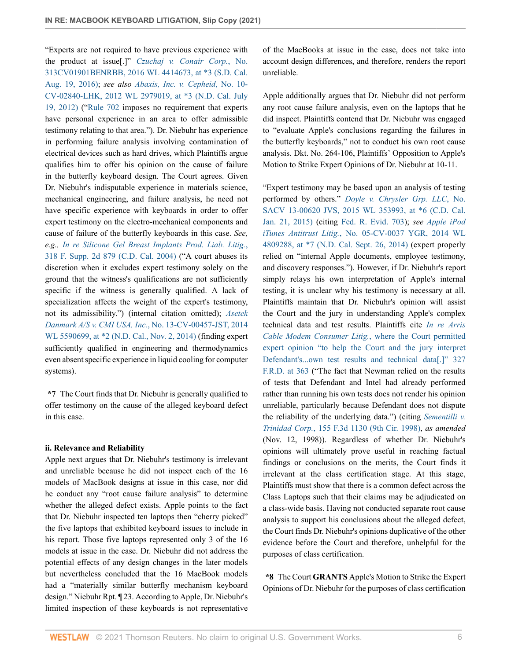"Experts are not required to have previous experience with the product at issue[.]" *[Czuchaj v. Conair Corp.](http://www.westlaw.com/Link/Document/FullText?findType=Y&serNum=2039614499&pubNum=0000999&originatingDoc=Ia6bed280969111ebbbbbabec583fa227&refType=RP&originationContext=document&vr=3.0&rs=cblt1.0&transitionType=DocumentItem&contextData=(sc.Keycite))*, No. [313CV01901BENRBB, 2016 WL 4414673, at \\*3 \(S.D. Cal.](http://www.westlaw.com/Link/Document/FullText?findType=Y&serNum=2039614499&pubNum=0000999&originatingDoc=Ia6bed280969111ebbbbbabec583fa227&refType=RP&originationContext=document&vr=3.0&rs=cblt1.0&transitionType=DocumentItem&contextData=(sc.Keycite)) [Aug. 19, 2016\);](http://www.westlaw.com/Link/Document/FullText?findType=Y&serNum=2039614499&pubNum=0000999&originatingDoc=Ia6bed280969111ebbbbbabec583fa227&refType=RP&originationContext=document&vr=3.0&rs=cblt1.0&transitionType=DocumentItem&contextData=(sc.Keycite)) *see also [Abaxis, Inc. v. Cepheid](http://www.westlaw.com/Link/Document/FullText?findType=Y&serNum=2028251482&pubNum=0000999&originatingDoc=Ia6bed280969111ebbbbbabec583fa227&refType=RP&originationContext=document&vr=3.0&rs=cblt1.0&transitionType=DocumentItem&contextData=(sc.Keycite))*, No. 10- [CV-02840-LHK, 2012 WL 2979019, at \\*3 \(N.D. Cal. July](http://www.westlaw.com/Link/Document/FullText?findType=Y&serNum=2028251482&pubNum=0000999&originatingDoc=Ia6bed280969111ebbbbbabec583fa227&refType=RP&originationContext=document&vr=3.0&rs=cblt1.0&transitionType=DocumentItem&contextData=(sc.Keycite)) [19, 2012\)](http://www.westlaw.com/Link/Document/FullText?findType=Y&serNum=2028251482&pubNum=0000999&originatingDoc=Ia6bed280969111ebbbbbabec583fa227&refType=RP&originationContext=document&vr=3.0&rs=cblt1.0&transitionType=DocumentItem&contextData=(sc.Keycite)) (["Rule 702](http://www.westlaw.com/Link/Document/FullText?findType=L&pubNum=1000607&cite=USFRER702&originatingDoc=Ia6bed280969111ebbbbbabec583fa227&refType=LQ&originationContext=document&vr=3.0&rs=cblt1.0&transitionType=DocumentItem&contextData=(sc.Keycite)) imposes no requirement that experts have personal experience in an area to offer admissible testimony relating to that area."). Dr. Niebuhr has experience in performing failure analysis involving contamination of electrical devices such as hard drives, which Plaintiffs argue qualifies him to offer his opinion on the cause of failure in the butterfly keyboard design. The Court agrees. Given Dr. Niebuhr's indisputable experience in materials science, mechanical engineering, and failure analysis, he need not have specific experience with keyboards in order to offer expert testimony on the electro-mechanical components and cause of failure of the butterfly keyboards in this case. *See, e.g., [In re Silicone Gel Breast Implants Prod. Liab. Litig.](http://www.westlaw.com/Link/Document/FullText?findType=Y&serNum=2004502345&pubNum=0004637&originatingDoc=Ia6bed280969111ebbbbbabec583fa227&refType=RP&originationContext=document&vr=3.0&rs=cblt1.0&transitionType=DocumentItem&contextData=(sc.Keycite))*, [318 F. Supp. 2d 879 \(C.D. Cal. 2004\)](http://www.westlaw.com/Link/Document/FullText?findType=Y&serNum=2004502345&pubNum=0004637&originatingDoc=Ia6bed280969111ebbbbbabec583fa227&refType=RP&originationContext=document&vr=3.0&rs=cblt1.0&transitionType=DocumentItem&contextData=(sc.Keycite)) ("A court abuses its discretion when it excludes expert testimony solely on the ground that the witness's qualifications are not sufficiently specific if the witness is generally qualified. A lack of specialization affects the weight of the expert's testimony, not its admissibility.") (internal citation omitted); *[Asetek](http://www.westlaw.com/Link/Document/FullText?findType=Y&serNum=2034717353&pubNum=0000999&originatingDoc=Ia6bed280969111ebbbbbabec583fa227&refType=RP&originationContext=document&vr=3.0&rs=cblt1.0&transitionType=DocumentItem&contextData=(sc.Keycite)) [Danmark A/S v. CMI USA, Inc.](http://www.westlaw.com/Link/Document/FullText?findType=Y&serNum=2034717353&pubNum=0000999&originatingDoc=Ia6bed280969111ebbbbbabec583fa227&refType=RP&originationContext=document&vr=3.0&rs=cblt1.0&transitionType=DocumentItem&contextData=(sc.Keycite))*, No. 13-CV-00457-JST, 2014 [WL 5590699, at \\*2 \(N.D. Cal., Nov. 2, 2014\)](http://www.westlaw.com/Link/Document/FullText?findType=Y&serNum=2034717353&pubNum=0000999&originatingDoc=Ia6bed280969111ebbbbbabec583fa227&refType=RP&originationContext=document&vr=3.0&rs=cblt1.0&transitionType=DocumentItem&contextData=(sc.Keycite)) (finding expert sufficiently qualified in engineering and thermodynamics even absent specific experience in liquid cooling for computer systems).

**\*7** The Court finds that Dr. Niebuhr is generally qualified to offer testimony on the cause of the alleged keyboard defect in this case.

#### **ii. Relevance and Reliability**

Apple next argues that Dr. Niebuhr's testimony is irrelevant and unreliable because he did not inspect each of the 16 models of MacBook designs at issue in this case, nor did he conduct any "root cause failure analysis" to determine whether the alleged defect exists. Apple points to the fact that Dr. Niebuhr inspected ten laptops then "cherry picked" the five laptops that exhibited keyboard issues to include in his report. Those five laptops represented only 3 of the 16 models at issue in the case. Dr. Niebuhr did not address the potential effects of any design changes in the later models but nevertheless concluded that the 16 MacBook models had a "materially similar butterfly mechanism keyboard design." Niebuhr Rpt. ¶ 23. According to Apple, Dr. Niebuhr's limited inspection of these keyboards is not representative

of the MacBooks at issue in the case, does not take into account design differences, and therefore, renders the report unreliable.

Apple additionally argues that Dr. Niebuhr did not perform any root cause failure analysis, even on the laptops that he did inspect. Plaintiffs contend that Dr. Niebuhr was engaged to "evaluate Apple's conclusions regarding the failures in the butterfly keyboards," not to conduct his own root cause analysis. Dkt. No. 264-106, Plaintiffs' Opposition to Apple's Motion to Strike Expert Opinions of Dr. Niebuhr at 10-11.

"Expert testimony may be based upon an analysis of testing performed by others." *[Doyle v. Chrysler Grp. LLC](http://www.westlaw.com/Link/Document/FullText?findType=Y&serNum=2035345126&pubNum=0000999&originatingDoc=Ia6bed280969111ebbbbbabec583fa227&refType=RP&originationContext=document&vr=3.0&rs=cblt1.0&transitionType=DocumentItem&contextData=(sc.Keycite))*, No. [SACV 13-00620 JVS, 2015 WL 353993, at \\*6 \(C.D. Cal.](http://www.westlaw.com/Link/Document/FullText?findType=Y&serNum=2035345126&pubNum=0000999&originatingDoc=Ia6bed280969111ebbbbbabec583fa227&refType=RP&originationContext=document&vr=3.0&rs=cblt1.0&transitionType=DocumentItem&contextData=(sc.Keycite)) [Jan. 21, 2015\)](http://www.westlaw.com/Link/Document/FullText?findType=Y&serNum=2035345126&pubNum=0000999&originatingDoc=Ia6bed280969111ebbbbbabec583fa227&refType=RP&originationContext=document&vr=3.0&rs=cblt1.0&transitionType=DocumentItem&contextData=(sc.Keycite)) (citing [Fed. R. Evid. 703\)](http://www.westlaw.com/Link/Document/FullText?findType=L&pubNum=1000607&cite=USFRER703&originatingDoc=Ia6bed280969111ebbbbbabec583fa227&refType=LQ&originationContext=document&vr=3.0&rs=cblt1.0&transitionType=DocumentItem&contextData=(sc.Keycite)); *see [Apple iPod](http://www.westlaw.com/Link/Document/FullText?findType=Y&serNum=2034400534&pubNum=0000999&originatingDoc=Ia6bed280969111ebbbbbabec583fa227&refType=RP&originationContext=document&vr=3.0&rs=cblt1.0&transitionType=DocumentItem&contextData=(sc.Keycite)) iTunes Antitrust Litig.*[, No. 05-CV-0037 YGR, 2014 WL](http://www.westlaw.com/Link/Document/FullText?findType=Y&serNum=2034400534&pubNum=0000999&originatingDoc=Ia6bed280969111ebbbbbabec583fa227&refType=RP&originationContext=document&vr=3.0&rs=cblt1.0&transitionType=DocumentItem&contextData=(sc.Keycite)) [4809288, at \\*7 \(N.D. Cal. Sept. 26, 2014\)](http://www.westlaw.com/Link/Document/FullText?findType=Y&serNum=2034400534&pubNum=0000999&originatingDoc=Ia6bed280969111ebbbbbabec583fa227&refType=RP&originationContext=document&vr=3.0&rs=cblt1.0&transitionType=DocumentItem&contextData=(sc.Keycite)) (expert properly relied on "internal Apple documents, employee testimony, and discovery responses."). However, if Dr. Niebuhr's report simply relays his own interpretation of Apple's internal testing, it is unclear why his testimony is necessary at all. Plaintiffs maintain that Dr. Niebuhr's opinion will assist the Court and the jury in understanding Apple's complex technical data and test results. Plaintiffs cite *[In re Arris](http://www.westlaw.com/Link/Document/FullText?findType=Y&serNum=2045258506&pubNum=0000344&originatingDoc=Ia6bed280969111ebbbbbabec583fa227&refType=RP&fi=co_pp_sp_344_363&originationContext=document&vr=3.0&rs=cblt1.0&transitionType=DocumentItem&contextData=(sc.Keycite)#co_pp_sp_344_363) [Cable Modem Consumer Litig.](http://www.westlaw.com/Link/Document/FullText?findType=Y&serNum=2045258506&pubNum=0000344&originatingDoc=Ia6bed280969111ebbbbbabec583fa227&refType=RP&fi=co_pp_sp_344_363&originationContext=document&vr=3.0&rs=cblt1.0&transitionType=DocumentItem&contextData=(sc.Keycite)#co_pp_sp_344_363)*, where the Court permitted [expert opinion "to help the Court and the jury interpret](http://www.westlaw.com/Link/Document/FullText?findType=Y&serNum=2045258506&pubNum=0000344&originatingDoc=Ia6bed280969111ebbbbbabec583fa227&refType=RP&fi=co_pp_sp_344_363&originationContext=document&vr=3.0&rs=cblt1.0&transitionType=DocumentItem&contextData=(sc.Keycite)#co_pp_sp_344_363) [Defendant's...own test results and technical data\[.\]" 327](http://www.westlaw.com/Link/Document/FullText?findType=Y&serNum=2045258506&pubNum=0000344&originatingDoc=Ia6bed280969111ebbbbbabec583fa227&refType=RP&fi=co_pp_sp_344_363&originationContext=document&vr=3.0&rs=cblt1.0&transitionType=DocumentItem&contextData=(sc.Keycite)#co_pp_sp_344_363) [F.R.D. at 363](http://www.westlaw.com/Link/Document/FullText?findType=Y&serNum=2045258506&pubNum=0000344&originatingDoc=Ia6bed280969111ebbbbbabec583fa227&refType=RP&fi=co_pp_sp_344_363&originationContext=document&vr=3.0&rs=cblt1.0&transitionType=DocumentItem&contextData=(sc.Keycite)#co_pp_sp_344_363) ("The fact that Newman relied on the results of tests that Defendant and Intel had already performed rather than running his own tests does not render his opinion unreliable, particularly because Defendant does not dispute the reliability of the underlying data.") (citing *[Sementilli v.](http://www.westlaw.com/Link/Document/FullText?findType=Y&serNum=1998191559&pubNum=0000506&originatingDoc=Ia6bed280969111ebbbbbabec583fa227&refType=RP&originationContext=document&vr=3.0&rs=cblt1.0&transitionType=DocumentItem&contextData=(sc.Keycite)) Trinidad Corp.*[, 155 F.3d 1130 \(9th Cir. 1998\),](http://www.westlaw.com/Link/Document/FullText?findType=Y&serNum=1998191559&pubNum=0000506&originatingDoc=Ia6bed280969111ebbbbbabec583fa227&refType=RP&originationContext=document&vr=3.0&rs=cblt1.0&transitionType=DocumentItem&contextData=(sc.Keycite)) *as amended* (Nov. 12, 1998)). Regardless of whether Dr. Niebuhr's opinions will ultimately prove useful in reaching factual findings or conclusions on the merits, the Court finds it irrelevant at the class certification stage. At this stage, Plaintiffs must show that there is a common defect across the Class Laptops such that their claims may be adjudicated on a class-wide basis. Having not conducted separate root cause analysis to support his conclusions about the alleged defect, the Court finds Dr. Niebuhr's opinions duplicative of the other evidence before the Court and therefore, unhelpful for the purposes of class certification.

**\*8** The Court **GRANTS** Apple's Motion to Strike the Expert Opinions of Dr. Niebuhr for the purposes of class certification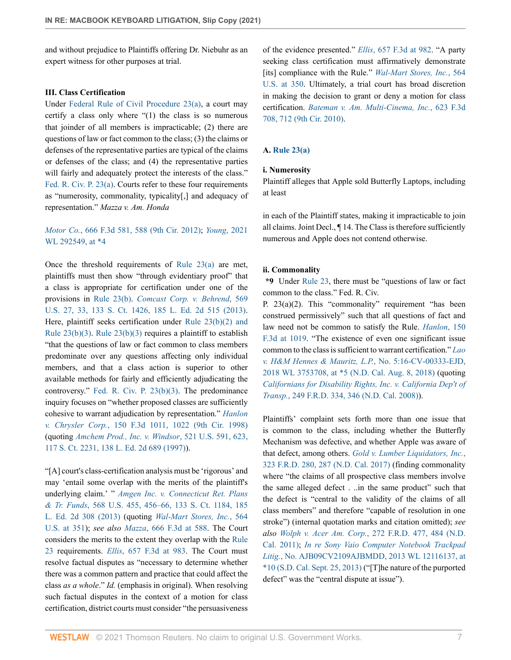and without prejudice to Plaintiffs offering Dr. Niebuhr as an expert witness for other purposes at trial.

## **III. Class Certification**

Under [Federal Rule of Civil Procedure 23\(a\),](http://www.westlaw.com/Link/Document/FullText?findType=L&pubNum=1000600&cite=USFRCPR23&originatingDoc=Ia6bed280969111ebbbbbabec583fa227&refType=LQ&originationContext=document&vr=3.0&rs=cblt1.0&transitionType=DocumentItem&contextData=(sc.Keycite)) a court may certify a class only where "(1) the class is so numerous that joinder of all members is impracticable; (2) there are questions of law or fact common to the class; (3) the claims or defenses of the representative parties are typical of the claims or defenses of the class; and (4) the representative parties will fairly and adequately protect the interests of the class." [Fed. R. Civ. P. 23\(a\).](http://www.westlaw.com/Link/Document/FullText?findType=L&pubNum=1000600&cite=USFRCPR23&originatingDoc=Ia6bed280969111ebbbbbabec583fa227&refType=LQ&originationContext=document&vr=3.0&rs=cblt1.0&transitionType=DocumentItem&contextData=(sc.Keycite)) Courts refer to these four requirements as "numerosity, commonality, typicality[,] and adequacy of representation." *Mazza v. Am. Honda*

## *Motor Co.*[, 666 F.3d 581, 588 \(9th Cir. 2012\);](http://www.westlaw.com/Link/Document/FullText?findType=Y&serNum=2026850155&pubNum=0000506&originatingDoc=Ia6bed280969111ebbbbbabec583fa227&refType=RP&fi=co_pp_sp_506_588&originationContext=document&vr=3.0&rs=cblt1.0&transitionType=DocumentItem&contextData=(sc.Keycite)#co_pp_sp_506_588) *Young*[, 2021](http://www.westlaw.com/Link/Document/FullText?findType=Y&serNum=2052862680&pubNum=0000999&originatingDoc=Ia6bed280969111ebbbbbabec583fa227&refType=RP&originationContext=document&vr=3.0&rs=cblt1.0&transitionType=DocumentItem&contextData=(sc.Keycite)) [WL 292549, at \\*4](http://www.westlaw.com/Link/Document/FullText?findType=Y&serNum=2052862680&pubNum=0000999&originatingDoc=Ia6bed280969111ebbbbbabec583fa227&refType=RP&originationContext=document&vr=3.0&rs=cblt1.0&transitionType=DocumentItem&contextData=(sc.Keycite))

Once the threshold requirements of [Rule 23\(a\)](http://www.westlaw.com/Link/Document/FullText?findType=L&pubNum=1000600&cite=USFRCPR23&originatingDoc=Ia6bed280969111ebbbbbabec583fa227&refType=LQ&originationContext=document&vr=3.0&rs=cblt1.0&transitionType=DocumentItem&contextData=(sc.Keycite)) are met, plaintiffs must then show "through evidentiary proof" that a class is appropriate for certification under one of the provisions in [Rule 23\(b\)](http://www.westlaw.com/Link/Document/FullText?findType=L&pubNum=1000600&cite=USFRCPR23&originatingDoc=Ia6bed280969111ebbbbbabec583fa227&refType=LQ&originationContext=document&vr=3.0&rs=cblt1.0&transitionType=DocumentItem&contextData=(sc.Keycite)). *[Comcast Corp. v. Behrend](http://www.westlaw.com/Link/Document/FullText?findType=Y&serNum=2030224700&pubNum=0000780&originatingDoc=Ia6bed280969111ebbbbbabec583fa227&refType=RP&fi=co_pp_sp_780_33&originationContext=document&vr=3.0&rs=cblt1.0&transitionType=DocumentItem&contextData=(sc.Keycite)#co_pp_sp_780_33)*, 569 [U.S. 27, 33, 133 S. Ct. 1426, 185 L. Ed. 2d 515 \(2013\)](http://www.westlaw.com/Link/Document/FullText?findType=Y&serNum=2030224700&pubNum=0000780&originatingDoc=Ia6bed280969111ebbbbbabec583fa227&refType=RP&fi=co_pp_sp_780_33&originationContext=document&vr=3.0&rs=cblt1.0&transitionType=DocumentItem&contextData=(sc.Keycite)#co_pp_sp_780_33). Here, plaintiff seeks certification under [Rule 23\(b\)\(2\) and](http://www.westlaw.com/Link/Document/FullText?findType=L&pubNum=1000600&cite=USFRCPR23&originatingDoc=Ia6bed280969111ebbbbbabec583fa227&refType=LQ&originationContext=document&vr=3.0&rs=cblt1.0&transitionType=DocumentItem&contextData=(sc.Keycite)) Rule  $23(b)(3)$ . Rule  $23(b)(3)$  requires a plaintiff to establish "that the questions of law or fact common to class members predominate over any questions affecting only individual members, and that a class action is superior to other available methods for fairly and efficiently adjudicating the controversy." [Fed. R. Civ. P. 23\(b\)\(3\)](http://www.westlaw.com/Link/Document/FullText?findType=L&pubNum=1000600&cite=USFRCPR23&originatingDoc=Ia6bed280969111ebbbbbabec583fa227&refType=LQ&originationContext=document&vr=3.0&rs=cblt1.0&transitionType=DocumentItem&contextData=(sc.Keycite)). The predominance inquiry focuses on "whether proposed classes are sufficiently cohesive to warrant adjudication by representation." *[Hanlon](http://www.westlaw.com/Link/Document/FullText?findType=Y&serNum=1998157234&pubNum=0000506&originatingDoc=Ia6bed280969111ebbbbbabec583fa227&refType=RP&fi=co_pp_sp_506_1022&originationContext=document&vr=3.0&rs=cblt1.0&transitionType=DocumentItem&contextData=(sc.Keycite)#co_pp_sp_506_1022) v. Chrysler Corp.*[, 150 F.3d 1011, 1022 \(9th Cir. 1998\)](http://www.westlaw.com/Link/Document/FullText?findType=Y&serNum=1998157234&pubNum=0000506&originatingDoc=Ia6bed280969111ebbbbbabec583fa227&refType=RP&fi=co_pp_sp_506_1022&originationContext=document&vr=3.0&rs=cblt1.0&transitionType=DocumentItem&contextData=(sc.Keycite)#co_pp_sp_506_1022) (quoting *[Amchem Prod., Inc. v. Windsor](http://www.westlaw.com/Link/Document/FullText?findType=Y&serNum=1997134004&pubNum=0000780&originatingDoc=Ia6bed280969111ebbbbbabec583fa227&refType=RP&fi=co_pp_sp_780_623&originationContext=document&vr=3.0&rs=cblt1.0&transitionType=DocumentItem&contextData=(sc.Keycite)#co_pp_sp_780_623)*, 521 U.S. 591, 623, [117 S. Ct. 2231, 138 L. Ed. 2d 689 \(1997\)](http://www.westlaw.com/Link/Document/FullText?findType=Y&serNum=1997134004&pubNum=0000780&originatingDoc=Ia6bed280969111ebbbbbabec583fa227&refType=RP&fi=co_pp_sp_780_623&originationContext=document&vr=3.0&rs=cblt1.0&transitionType=DocumentItem&contextData=(sc.Keycite)#co_pp_sp_780_623)).

"[A] court's class-certification analysis must be 'rigorous' and may 'entail some overlap with the merits of the plaintiff's underlying claim.' " *[Amgen Inc. v. Connecticut Ret. Plans](http://www.westlaw.com/Link/Document/FullText?findType=Y&serNum=2029946479&pubNum=0000780&originatingDoc=Ia6bed280969111ebbbbbabec583fa227&refType=RP&fi=co_pp_sp_780_456&originationContext=document&vr=3.0&rs=cblt1.0&transitionType=DocumentItem&contextData=(sc.Keycite)#co_pp_sp_780_456) & Tr. Funds*[, 568 U.S. 455, 456–66, 133 S. Ct. 1184, 185](http://www.westlaw.com/Link/Document/FullText?findType=Y&serNum=2029946479&pubNum=0000780&originatingDoc=Ia6bed280969111ebbbbbabec583fa227&refType=RP&fi=co_pp_sp_780_456&originationContext=document&vr=3.0&rs=cblt1.0&transitionType=DocumentItem&contextData=(sc.Keycite)#co_pp_sp_780_456) [L. Ed. 2d 308 \(2013\)](http://www.westlaw.com/Link/Document/FullText?findType=Y&serNum=2029946479&pubNum=0000780&originatingDoc=Ia6bed280969111ebbbbbabec583fa227&refType=RP&fi=co_pp_sp_780_456&originationContext=document&vr=3.0&rs=cblt1.0&transitionType=DocumentItem&contextData=(sc.Keycite)#co_pp_sp_780_456) (quoting *[Wal-Mart Stores, Inc.](http://www.westlaw.com/Link/Document/FullText?findType=Y&serNum=2025520221&pubNum=0000780&originatingDoc=Ia6bed280969111ebbbbbabec583fa227&refType=RP&fi=co_pp_sp_780_351&originationContext=document&vr=3.0&rs=cblt1.0&transitionType=DocumentItem&contextData=(sc.Keycite)#co_pp_sp_780_351)*, 564 [U.S. at 351\)](http://www.westlaw.com/Link/Document/FullText?findType=Y&serNum=2025520221&pubNum=0000780&originatingDoc=Ia6bed280969111ebbbbbabec583fa227&refType=RP&fi=co_pp_sp_780_351&originationContext=document&vr=3.0&rs=cblt1.0&transitionType=DocumentItem&contextData=(sc.Keycite)#co_pp_sp_780_351); *see also Mazza*[, 666 F.3d at 588](http://www.westlaw.com/Link/Document/FullText?findType=Y&serNum=2026850155&pubNum=0000506&originatingDoc=Ia6bed280969111ebbbbbabec583fa227&refType=RP&fi=co_pp_sp_506_588&originationContext=document&vr=3.0&rs=cblt1.0&transitionType=DocumentItem&contextData=(sc.Keycite)#co_pp_sp_506_588). The Court considers the merits to the extent they overlap with the [Rule](http://www.westlaw.com/Link/Document/FullText?findType=L&pubNum=1000600&cite=USFRCPR23&originatingDoc=Ia6bed280969111ebbbbbabec583fa227&refType=LQ&originationContext=document&vr=3.0&rs=cblt1.0&transitionType=DocumentItem&contextData=(sc.Keycite)) [23](http://www.westlaw.com/Link/Document/FullText?findType=L&pubNum=1000600&cite=USFRCPR23&originatingDoc=Ia6bed280969111ebbbbbabec583fa227&refType=LQ&originationContext=document&vr=3.0&rs=cblt1.0&transitionType=DocumentItem&contextData=(sc.Keycite)) requirements. *Ellis*[, 657 F.3d at 983](http://www.westlaw.com/Link/Document/FullText?findType=Y&serNum=2026166099&pubNum=0000506&originatingDoc=Ia6bed280969111ebbbbbabec583fa227&refType=RP&fi=co_pp_sp_506_983&originationContext=document&vr=3.0&rs=cblt1.0&transitionType=DocumentItem&contextData=(sc.Keycite)#co_pp_sp_506_983). The Court must resolve factual disputes as "necessary to determine whether there was a common pattern and practice that could affect the class *as a whole*." *Id.* (emphasis in original). When resolving such factual disputes in the context of a motion for class certification, district courts must consider "the persuasiveness

of the evidence presented." *Ellis*[, 657 F.3d at 982.](http://www.westlaw.com/Link/Document/FullText?findType=Y&serNum=2026166099&pubNum=0000506&originatingDoc=Ia6bed280969111ebbbbbabec583fa227&refType=RP&fi=co_pp_sp_506_982&originationContext=document&vr=3.0&rs=cblt1.0&transitionType=DocumentItem&contextData=(sc.Keycite)#co_pp_sp_506_982) "A party seeking class certification must affirmatively demonstrate [its] compliance with the Rule." *[Wal-Mart Stores, Inc.](http://www.westlaw.com/Link/Document/FullText?findType=Y&serNum=2025520221&pubNum=0000780&originatingDoc=Ia6bed280969111ebbbbbabec583fa227&refType=RP&fi=co_pp_sp_780_350&originationContext=document&vr=3.0&rs=cblt1.0&transitionType=DocumentItem&contextData=(sc.Keycite)#co_pp_sp_780_350)*, 564 [U.S. at 350.](http://www.westlaw.com/Link/Document/FullText?findType=Y&serNum=2025520221&pubNum=0000780&originatingDoc=Ia6bed280969111ebbbbbabec583fa227&refType=RP&fi=co_pp_sp_780_350&originationContext=document&vr=3.0&rs=cblt1.0&transitionType=DocumentItem&contextData=(sc.Keycite)#co_pp_sp_780_350) Ultimately, a trial court has broad discretion in making the decision to grant or deny a motion for class certification. *[Bateman v. Am. Multi-Cinema, Inc.](http://www.westlaw.com/Link/Document/FullText?findType=Y&serNum=2023150684&pubNum=0000506&originatingDoc=Ia6bed280969111ebbbbbabec583fa227&refType=RP&fi=co_pp_sp_506_712&originationContext=document&vr=3.0&rs=cblt1.0&transitionType=DocumentItem&contextData=(sc.Keycite)#co_pp_sp_506_712)*, 623 F.3d [708, 712 \(9th Cir. 2010\).](http://www.westlaw.com/Link/Document/FullText?findType=Y&serNum=2023150684&pubNum=0000506&originatingDoc=Ia6bed280969111ebbbbbabec583fa227&refType=RP&fi=co_pp_sp_506_712&originationContext=document&vr=3.0&rs=cblt1.0&transitionType=DocumentItem&contextData=(sc.Keycite)#co_pp_sp_506_712)

## **A. [Rule 23\(a\)](http://www.westlaw.com/Link/Document/FullText?findType=L&pubNum=1000600&cite=USFRCPR23&originatingDoc=Ia6bed280969111ebbbbbabec583fa227&refType=LQ&originationContext=document&vr=3.0&rs=cblt1.0&transitionType=DocumentItem&contextData=(sc.Keycite))**

## **i. Numerosity**

Plaintiff alleges that Apple sold Butterfly Laptops, including at least

in each of the Plaintiff states, making it impracticable to join all claims. Joint Decl., ¶ 14. The Class is therefore sufficiently numerous and Apple does not contend otherwise.

#### **ii. Commonality**

**\*9** Under [Rule 23](http://www.westlaw.com/Link/Document/FullText?findType=L&pubNum=1000600&cite=USFRCPR23&originatingDoc=Ia6bed280969111ebbbbbabec583fa227&refType=LQ&originationContext=document&vr=3.0&rs=cblt1.0&transitionType=DocumentItem&contextData=(sc.Keycite)), there must be "questions of law or fact common to the class." Fed. R. Civ.

P. 23(a)(2). This "commonality" requirement "has been construed permissively" such that all questions of fact and law need not be common to satisfy the Rule. *[Hanlon](http://www.westlaw.com/Link/Document/FullText?findType=Y&serNum=1998157234&pubNum=0000506&originatingDoc=Ia6bed280969111ebbbbbabec583fa227&refType=RP&fi=co_pp_sp_506_1019&originationContext=document&vr=3.0&rs=cblt1.0&transitionType=DocumentItem&contextData=(sc.Keycite)#co_pp_sp_506_1019)*, 150 [F.3d at 1019](http://www.westlaw.com/Link/Document/FullText?findType=Y&serNum=1998157234&pubNum=0000506&originatingDoc=Ia6bed280969111ebbbbbabec583fa227&refType=RP&fi=co_pp_sp_506_1019&originationContext=document&vr=3.0&rs=cblt1.0&transitionType=DocumentItem&contextData=(sc.Keycite)#co_pp_sp_506_1019). "The existence of even one significant issue common to the class is sufficient to warrant certification." *[Lao](http://www.westlaw.com/Link/Document/FullText?findType=Y&serNum=2045230064&pubNum=0000999&originatingDoc=Ia6bed280969111ebbbbbabec583fa227&refType=RP&originationContext=document&vr=3.0&rs=cblt1.0&transitionType=DocumentItem&contextData=(sc.Keycite)) [v. H&M Hennes & Mauritz, L.P.](http://www.westlaw.com/Link/Document/FullText?findType=Y&serNum=2045230064&pubNum=0000999&originatingDoc=Ia6bed280969111ebbbbbabec583fa227&refType=RP&originationContext=document&vr=3.0&rs=cblt1.0&transitionType=DocumentItem&contextData=(sc.Keycite))*, No. 5:16-CV-00333-EJD, [2018 WL 3753708, at \\*5 \(N.D. Cal. Aug. 8, 2018\)](http://www.westlaw.com/Link/Document/FullText?findType=Y&serNum=2045230064&pubNum=0000999&originatingDoc=Ia6bed280969111ebbbbbabec583fa227&refType=RP&originationContext=document&vr=3.0&rs=cblt1.0&transitionType=DocumentItem&contextData=(sc.Keycite)) (quoting *[Californians for Disability Rights, Inc. v. California Dep't of](http://www.westlaw.com/Link/Document/FullText?findType=Y&serNum=2015500341&pubNum=0000344&originatingDoc=Ia6bed280969111ebbbbbabec583fa227&refType=RP&fi=co_pp_sp_344_346&originationContext=document&vr=3.0&rs=cblt1.0&transitionType=DocumentItem&contextData=(sc.Keycite)#co_pp_sp_344_346) Transp.*[, 249 F.R.D. 334, 346 \(N.D. Cal. 2008\)](http://www.westlaw.com/Link/Document/FullText?findType=Y&serNum=2015500341&pubNum=0000344&originatingDoc=Ia6bed280969111ebbbbbabec583fa227&refType=RP&fi=co_pp_sp_344_346&originationContext=document&vr=3.0&rs=cblt1.0&transitionType=DocumentItem&contextData=(sc.Keycite)#co_pp_sp_344_346)).

Plaintiffs' complaint sets forth more than one issue that is common to the class, including whether the Butterfly Mechanism was defective, and whether Apple was aware of that defect, among others. *[Gold v. Lumber Liquidators, Inc.](http://www.westlaw.com/Link/Document/FullText?findType=Y&serNum=2043208837&pubNum=0000344&originatingDoc=Ia6bed280969111ebbbbbabec583fa227&refType=RP&fi=co_pp_sp_344_287&originationContext=document&vr=3.0&rs=cblt1.0&transitionType=DocumentItem&contextData=(sc.Keycite)#co_pp_sp_344_287)*, [323 F.R.D. 280, 287 \(N.D. Cal. 2017\)](http://www.westlaw.com/Link/Document/FullText?findType=Y&serNum=2043208837&pubNum=0000344&originatingDoc=Ia6bed280969111ebbbbbabec583fa227&refType=RP&fi=co_pp_sp_344_287&originationContext=document&vr=3.0&rs=cblt1.0&transitionType=DocumentItem&contextData=(sc.Keycite)#co_pp_sp_344_287) (finding commonality where "the claims of all prospective class members involve the same alleged defect . ..in the same product" such that the defect is "central to the validity of the claims of all class members" and therefore "capable of resolution in one stroke") (internal quotation marks and citation omitted); *see also Wolph v. Acer Am. Corp.*[, 272 F.R.D. 477, 484 \(N.D.](http://www.westlaw.com/Link/Document/FullText?findType=Y&serNum=2024876559&pubNum=0000344&originatingDoc=Ia6bed280969111ebbbbbabec583fa227&refType=RP&fi=co_pp_sp_344_484&originationContext=document&vr=3.0&rs=cblt1.0&transitionType=DocumentItem&contextData=(sc.Keycite)#co_pp_sp_344_484) [Cal. 2011\)](http://www.westlaw.com/Link/Document/FullText?findType=Y&serNum=2024876559&pubNum=0000344&originatingDoc=Ia6bed280969111ebbbbbabec583fa227&refType=RP&fi=co_pp_sp_344_484&originationContext=document&vr=3.0&rs=cblt1.0&transitionType=DocumentItem&contextData=(sc.Keycite)#co_pp_sp_344_484); *[In re Sony Vaio Computer Notebook Trackpad](http://www.westlaw.com/Link/Document/FullText?findType=Y&serNum=2039997261&pubNum=0000999&originatingDoc=Ia6bed280969111ebbbbbabec583fa227&refType=RP&originationContext=document&vr=3.0&rs=cblt1.0&transitionType=DocumentItem&contextData=(sc.Keycite)) Litig.*[, No. AJB09CV2109AJBMDD, 2013 WL 12116137, at](http://www.westlaw.com/Link/Document/FullText?findType=Y&serNum=2039997261&pubNum=0000999&originatingDoc=Ia6bed280969111ebbbbbabec583fa227&refType=RP&originationContext=document&vr=3.0&rs=cblt1.0&transitionType=DocumentItem&contextData=(sc.Keycite)) [\\*10 \(S.D. Cal. Sept. 25, 2013\)](http://www.westlaw.com/Link/Document/FullText?findType=Y&serNum=2039997261&pubNum=0000999&originatingDoc=Ia6bed280969111ebbbbbabec583fa227&refType=RP&originationContext=document&vr=3.0&rs=cblt1.0&transitionType=DocumentItem&contextData=(sc.Keycite)) ("[T]he nature of the purported defect" was the "central dispute at issue").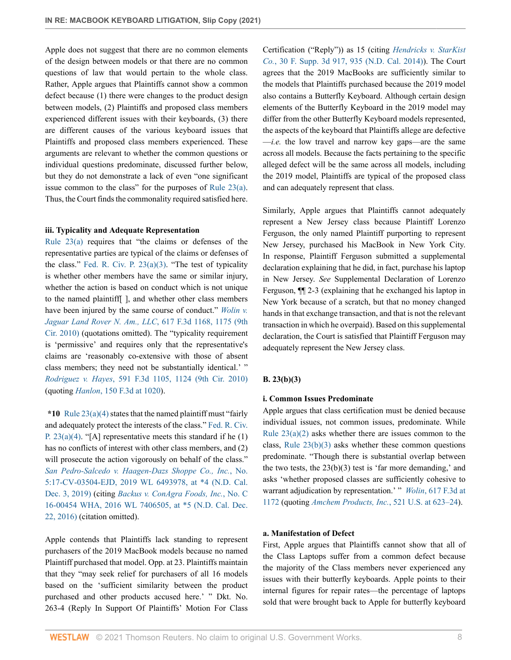Apple does not suggest that there are no common elements of the design between models or that there are no common questions of law that would pertain to the whole class. Rather, Apple argues that Plaintiffs cannot show a common defect because (1) there were changes to the product design between models, (2) Plaintiffs and proposed class members experienced different issues with their keyboards, (3) there are different causes of the various keyboard issues that Plaintiffs and proposed class members experienced. These arguments are relevant to whether the common questions or individual questions predominate, discussed further below, but they do not demonstrate a lack of even "one significant issue common to the class" for the purposes of [Rule 23\(a\)](http://www.westlaw.com/Link/Document/FullText?findType=L&pubNum=1000600&cite=USFRCPR23&originatingDoc=Ia6bed280969111ebbbbbabec583fa227&refType=LQ&originationContext=document&vr=3.0&rs=cblt1.0&transitionType=DocumentItem&contextData=(sc.Keycite)). Thus, the Court finds the commonality required satisfied here.

#### **iii. Typicality and Adequate Representation**

[Rule 23\(a\)](http://www.westlaw.com/Link/Document/FullText?findType=L&pubNum=1000600&cite=USFRCPR23&originatingDoc=Ia6bed280969111ebbbbbabec583fa227&refType=LQ&originationContext=document&vr=3.0&rs=cblt1.0&transitionType=DocumentItem&contextData=(sc.Keycite)) requires that "the claims or defenses of the representative parties are typical of the claims or defenses of the class." Fed. R. Civ. P.  $23(a)(3)$ . "The test of typicality is whether other members have the same or similar injury, whether the action is based on conduct which is not unique to the named plaintiff[ ], and whether other class members have been injured by the same course of conduct." *[Wolin v.](http://www.westlaw.com/Link/Document/FullText?findType=Y&serNum=2022779350&pubNum=0000506&originatingDoc=Ia6bed280969111ebbbbbabec583fa227&refType=RP&fi=co_pp_sp_506_1175&originationContext=document&vr=3.0&rs=cblt1.0&transitionType=DocumentItem&contextData=(sc.Keycite)#co_pp_sp_506_1175) [Jaguar Land Rover N. Am., LLC](http://www.westlaw.com/Link/Document/FullText?findType=Y&serNum=2022779350&pubNum=0000506&originatingDoc=Ia6bed280969111ebbbbbabec583fa227&refType=RP&fi=co_pp_sp_506_1175&originationContext=document&vr=3.0&rs=cblt1.0&transitionType=DocumentItem&contextData=(sc.Keycite)#co_pp_sp_506_1175)*, 617 F.3d 1168, 1175 (9th [Cir. 2010\)](http://www.westlaw.com/Link/Document/FullText?findType=Y&serNum=2022779350&pubNum=0000506&originatingDoc=Ia6bed280969111ebbbbbabec583fa227&refType=RP&fi=co_pp_sp_506_1175&originationContext=document&vr=3.0&rs=cblt1.0&transitionType=DocumentItem&contextData=(sc.Keycite)#co_pp_sp_506_1175) (quotations omitted). The "typicality requirement is 'permissive' and requires only that the representative's claims are 'reasonably co-extensive with those of absent class members; they need not be substantially identical.' " *Rodriguez v. Hayes*[, 591 F.3d 1105, 1124 \(9th Cir. 2010\)](http://www.westlaw.com/Link/Document/FullText?findType=Y&serNum=2020967400&pubNum=0000506&originatingDoc=Ia6bed280969111ebbbbbabec583fa227&refType=RP&fi=co_pp_sp_506_1124&originationContext=document&vr=3.0&rs=cblt1.0&transitionType=DocumentItem&contextData=(sc.Keycite)#co_pp_sp_506_1124) (quoting *Hanlon*[, 150 F.3d at 1020](http://www.westlaw.com/Link/Document/FullText?findType=Y&serNum=1998157234&pubNum=0000506&originatingDoc=Ia6bed280969111ebbbbbabec583fa227&refType=RP&fi=co_pp_sp_506_1020&originationContext=document&vr=3.0&rs=cblt1.0&transitionType=DocumentItem&contextData=(sc.Keycite)#co_pp_sp_506_1020)).

**\*10** [Rule 23\(a\)\(4\)](http://www.westlaw.com/Link/Document/FullText?findType=L&pubNum=1000600&cite=USFRCPR23&originatingDoc=Ia6bed280969111ebbbbbabec583fa227&refType=LQ&originationContext=document&vr=3.0&rs=cblt1.0&transitionType=DocumentItem&contextData=(sc.Keycite)) states that the named plaintiff must "fairly and adequately protect the interests of the class." [Fed. R. Civ.](http://www.westlaw.com/Link/Document/FullText?findType=L&pubNum=1000600&cite=USFRCPR23&originatingDoc=Ia6bed280969111ebbbbbabec583fa227&refType=LQ&originationContext=document&vr=3.0&rs=cblt1.0&transitionType=DocumentItem&contextData=(sc.Keycite)) P.  $23(a)(4)$ . "[A] representative meets this standard if he (1) has no conflicts of interest with other class members, and  $(2)$ will prosecute the action vigorously on behalf of the class." *[San Pedro-Salcedo v. Haagen-Dazs Shoppe Co., Inc.](http://www.westlaw.com/Link/Document/FullText?findType=Y&serNum=2049768285&pubNum=0000999&originatingDoc=Ia6bed280969111ebbbbbabec583fa227&refType=RP&originationContext=document&vr=3.0&rs=cblt1.0&transitionType=DocumentItem&contextData=(sc.Keycite))*, No. [5:17-CV-03504-EJD, 2019 WL 6493978, at \\*4 \(N.D. Cal.](http://www.westlaw.com/Link/Document/FullText?findType=Y&serNum=2049768285&pubNum=0000999&originatingDoc=Ia6bed280969111ebbbbbabec583fa227&refType=RP&originationContext=document&vr=3.0&rs=cblt1.0&transitionType=DocumentItem&contextData=(sc.Keycite)) [Dec. 3, 2019\)](http://www.westlaw.com/Link/Document/FullText?findType=Y&serNum=2049768285&pubNum=0000999&originatingDoc=Ia6bed280969111ebbbbbabec583fa227&refType=RP&originationContext=document&vr=3.0&rs=cblt1.0&transitionType=DocumentItem&contextData=(sc.Keycite)) (citing *[Backus v. ConAgra Foods, Inc.](http://www.westlaw.com/Link/Document/FullText?findType=Y&serNum=2040570997&pubNum=0000999&originatingDoc=Ia6bed280969111ebbbbbabec583fa227&refType=RP&originationContext=document&vr=3.0&rs=cblt1.0&transitionType=DocumentItem&contextData=(sc.Keycite))*, No. C [16-00454 WHA, 2016 WL 7406505, at \\*5 \(N.D. Cal. Dec.](http://www.westlaw.com/Link/Document/FullText?findType=Y&serNum=2040570997&pubNum=0000999&originatingDoc=Ia6bed280969111ebbbbbabec583fa227&refType=RP&originationContext=document&vr=3.0&rs=cblt1.0&transitionType=DocumentItem&contextData=(sc.Keycite)) [22, 2016\)](http://www.westlaw.com/Link/Document/FullText?findType=Y&serNum=2040570997&pubNum=0000999&originatingDoc=Ia6bed280969111ebbbbbabec583fa227&refType=RP&originationContext=document&vr=3.0&rs=cblt1.0&transitionType=DocumentItem&contextData=(sc.Keycite)) (citation omitted).

Apple contends that Plaintiffs lack standing to represent purchasers of the 2019 MacBook models because no named Plaintiff purchased that model. Opp. at 23. Plaintiffs maintain that they "may seek relief for purchasers of all 16 models based on the 'sufficient similarity between the product purchased and other products accused here.' " Dkt. No. 263-4 (Reply In Support Of Plaintiffs' Motion For Class Certification ("Reply")) as 15 (citing *[Hendricks v. StarKist](http://www.westlaw.com/Link/Document/FullText?findType=Y&serNum=2032978766&pubNum=0007903&originatingDoc=Ia6bed280969111ebbbbbabec583fa227&refType=RP&fi=co_pp_sp_7903_935&originationContext=document&vr=3.0&rs=cblt1.0&transitionType=DocumentItem&contextData=(sc.Keycite)#co_pp_sp_7903_935) Co.*[, 30 F. Supp. 3d 917, 935 \(N.D. Cal. 2014\)](http://www.westlaw.com/Link/Document/FullText?findType=Y&serNum=2032978766&pubNum=0007903&originatingDoc=Ia6bed280969111ebbbbbabec583fa227&refType=RP&fi=co_pp_sp_7903_935&originationContext=document&vr=3.0&rs=cblt1.0&transitionType=DocumentItem&contextData=(sc.Keycite)#co_pp_sp_7903_935)). The Court agrees that the 2019 MacBooks are sufficiently similar to the models that Plaintiffs purchased because the 2019 model also contains a Butterfly Keyboard. Although certain design elements of the Butterfly Keyboard in the 2019 model may differ from the other Butterfly Keyboard models represented, the aspects of the keyboard that Plaintiffs allege are defective —*i.e.* the low travel and narrow key gaps—are the same across all models. Because the facts pertaining to the specific alleged defect will be the same across all models, including the 2019 model, Plaintiffs are typical of the proposed class and can adequately represent that class.

Similarly, Apple argues that Plaintiffs cannot adequately represent a New Jersey class because Plaintiff Lorenzo Ferguson, the only named Plaintiff purporting to represent New Jersey, purchased his MacBook in New York City. In response, Plaintiff Ferguson submitted a supplemental declaration explaining that he did, in fact, purchase his laptop in New Jersey. *See* Supplemental Declaration of Lorenzo Ferguson, ¶¶ 2-3 (explaining that he exchanged his laptop in New York because of a scratch, but that no money changed hands in that exchange transaction, and that is not the relevant transaction in which he overpaid). Based on this supplemental declaration, the Court is satisfied that Plaintiff Ferguson may adequately represent the New Jersey class.

## **B. 23(b)(3)**

## **i. Common Issues Predominate**

Apple argues that class certification must be denied because individual issues, not common issues, predominate. While Rule  $23(a)(2)$  asks whether there are issues common to the class, Rule  $23(b)(3)$  asks whether these common questions predominate. "Though there is substantial overlap between the two tests, the  $23(b)(3)$  test is 'far more demanding,' and asks 'whether proposed classes are sufficiently cohesive to warrant adjudication by representation.' " *Wolin*[, 617 F.3d at](http://www.westlaw.com/Link/Document/FullText?findType=Y&serNum=2022779350&pubNum=0000506&originatingDoc=Ia6bed280969111ebbbbbabec583fa227&refType=RP&fi=co_pp_sp_506_1172&originationContext=document&vr=3.0&rs=cblt1.0&transitionType=DocumentItem&contextData=(sc.Keycite)#co_pp_sp_506_1172) [1172](http://www.westlaw.com/Link/Document/FullText?findType=Y&serNum=2022779350&pubNum=0000506&originatingDoc=Ia6bed280969111ebbbbbabec583fa227&refType=RP&fi=co_pp_sp_506_1172&originationContext=document&vr=3.0&rs=cblt1.0&transitionType=DocumentItem&contextData=(sc.Keycite)#co_pp_sp_506_1172) (quoting *[Amchem Products, Inc.](http://www.westlaw.com/Link/Document/FullText?findType=Y&serNum=1997134004&pubNum=0000780&originatingDoc=Ia6bed280969111ebbbbbabec583fa227&refType=RP&fi=co_pp_sp_780_623&originationContext=document&vr=3.0&rs=cblt1.0&transitionType=DocumentItem&contextData=(sc.Keycite)#co_pp_sp_780_623)*, 521 U.S. at 623–24).

### **a. Manifestation of Defect**

First, Apple argues that Plaintiffs cannot show that all of the Class Laptops suffer from a common defect because the majority of the Class members never experienced any issues with their butterfly keyboards. Apple points to their internal figures for repair rates—the percentage of laptops sold that were brought back to Apple for butterfly keyboard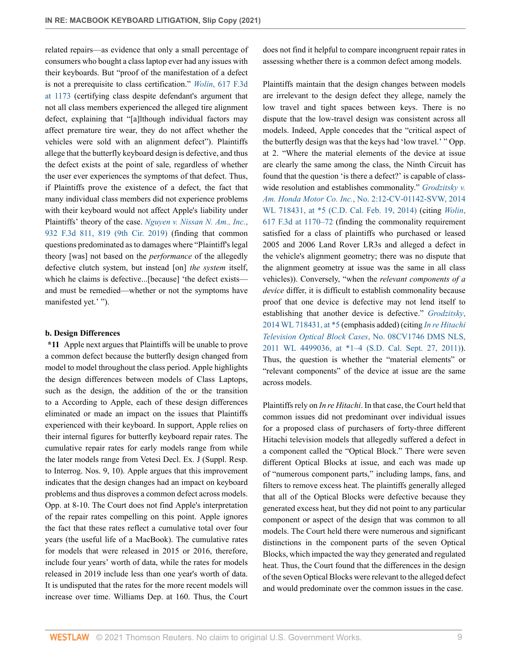related repairs—as evidence that only a small percentage of consumers who bought a class laptop ever had any issues with their keyboards. But "proof of the manifestation of a defect is not a prerequisite to class certification." *Wolin*[, 617 F.3d](http://www.westlaw.com/Link/Document/FullText?findType=Y&serNum=2022779350&pubNum=0000506&originatingDoc=Ia6bed280969111ebbbbbabec583fa227&refType=RP&fi=co_pp_sp_506_1173&originationContext=document&vr=3.0&rs=cblt1.0&transitionType=DocumentItem&contextData=(sc.Keycite)#co_pp_sp_506_1173) [at 1173](http://www.westlaw.com/Link/Document/FullText?findType=Y&serNum=2022779350&pubNum=0000506&originatingDoc=Ia6bed280969111ebbbbbabec583fa227&refType=RP&fi=co_pp_sp_506_1173&originationContext=document&vr=3.0&rs=cblt1.0&transitionType=DocumentItem&contextData=(sc.Keycite)#co_pp_sp_506_1173) (certifying class despite defendant's argument that not all class members experienced the alleged tire alignment defect, explaining that "[a]lthough individual factors may affect premature tire wear, they do not affect whether the vehicles were sold with an alignment defect"). Plaintiffs allege that the butterfly keyboard design is defective, and thus the defect exists at the point of sale, regardless of whether the user ever experiences the symptoms of that defect. Thus, if Plaintiffs prove the existence of a defect, the fact that many individual class members did not experience problems with their keyboard would not affect Apple's liability under Plaintiffs' theory of the case. *[Nguyen v. Nissan N. Am., Inc.](http://www.westlaw.com/Link/Document/FullText?findType=Y&serNum=2048781770&pubNum=0000506&originatingDoc=Ia6bed280969111ebbbbbabec583fa227&refType=RP&fi=co_pp_sp_506_819&originationContext=document&vr=3.0&rs=cblt1.0&transitionType=DocumentItem&contextData=(sc.Keycite)#co_pp_sp_506_819)*, [932 F.3d 811, 819 \(9th Cir. 2019\)](http://www.westlaw.com/Link/Document/FullText?findType=Y&serNum=2048781770&pubNum=0000506&originatingDoc=Ia6bed280969111ebbbbbabec583fa227&refType=RP&fi=co_pp_sp_506_819&originationContext=document&vr=3.0&rs=cblt1.0&transitionType=DocumentItem&contextData=(sc.Keycite)#co_pp_sp_506_819) (finding that common questions predominated as to damages where "Plaintiff's legal theory [was] not based on the *performance* of the allegedly defective clutch system, but instead [on] *the system* itself, which he claims is defective...[because] 'the defect exists and must be remedied—whether or not the symptoms have manifested yet.' ").

#### **b. Design Differences**

**\*11** Apple next argues that Plaintiffs will be unable to prove a common defect because the butterfly design changed from model to model throughout the class period. Apple highlights the design differences between models of Class Laptops, such as the design, the addition of the or the transition to a According to Apple, each of these design differences eliminated or made an impact on the issues that Plaintiffs experienced with their keyboard. In support, Apple relies on their internal figures for butterfly keyboard repair rates. The cumulative repair rates for early models range from while the later models range from Vetesi Decl. Ex. J (Suppl. Resp. to Interrog. Nos. 9, 10). Apple argues that this improvement indicates that the design changes had an impact on keyboard problems and thus disproves a common defect across models. Opp. at 8-10. The Court does not find Apple's interpretation of the repair rates compelling on this point. Apple ignores the fact that these rates reflect a cumulative total over four years (the useful life of a MacBook). The cumulative rates for models that were released in 2015 or 2016, therefore, include four years' worth of data, while the rates for models released in 2019 include less than one year's worth of data. It is undisputed that the rates for the more recent models will increase over time. Williams Dep. at 160. Thus, the Court does not find it helpful to compare incongruent repair rates in assessing whether there is a common defect among models.

Plaintiffs maintain that the design changes between models are irrelevant to the design defect they allege, namely the low travel and tight spaces between keys. There is no dispute that the low-travel design was consistent across all models. Indeed, Apple concedes that the "critical aspect of the butterfly design was that the keys had 'low travel.' " Opp. at 2. "Where the material elements of the device at issue are clearly the same among the class, the Ninth Circuit has found that the question 'is there a defect?' is capable of classwide resolution and establishes commonality." *[Grodzitsky v.](http://www.westlaw.com/Link/Document/FullText?findType=Y&serNum=2032785810&pubNum=0000999&originatingDoc=Ia6bed280969111ebbbbbabec583fa227&refType=RP&originationContext=document&vr=3.0&rs=cblt1.0&transitionType=DocumentItem&contextData=(sc.Keycite)) Am. Honda Motor Co. Inc.*[, No. 2:12-CV-01142-SVW, 2014](http://www.westlaw.com/Link/Document/FullText?findType=Y&serNum=2032785810&pubNum=0000999&originatingDoc=Ia6bed280969111ebbbbbabec583fa227&refType=RP&originationContext=document&vr=3.0&rs=cblt1.0&transitionType=DocumentItem&contextData=(sc.Keycite)) [WL 718431, at \\*5 \(C.D. Cal. Feb. 19, 2014\)](http://www.westlaw.com/Link/Document/FullText?findType=Y&serNum=2032785810&pubNum=0000999&originatingDoc=Ia6bed280969111ebbbbbabec583fa227&refType=RP&originationContext=document&vr=3.0&rs=cblt1.0&transitionType=DocumentItem&contextData=(sc.Keycite)) (citing *[Wolin](http://www.westlaw.com/Link/Document/FullText?findType=Y&serNum=2022779350&pubNum=0000506&originatingDoc=Ia6bed280969111ebbbbbabec583fa227&refType=RP&fi=co_pp_sp_506_1170&originationContext=document&vr=3.0&rs=cblt1.0&transitionType=DocumentItem&contextData=(sc.Keycite)#co_pp_sp_506_1170)*, [617 F.3d at 1170–72](http://www.westlaw.com/Link/Document/FullText?findType=Y&serNum=2022779350&pubNum=0000506&originatingDoc=Ia6bed280969111ebbbbbabec583fa227&refType=RP&fi=co_pp_sp_506_1170&originationContext=document&vr=3.0&rs=cblt1.0&transitionType=DocumentItem&contextData=(sc.Keycite)#co_pp_sp_506_1170) (finding the commonality requirement satisfied for a class of plaintiffs who purchased or leased 2005 and 2006 Land Rover LR3s and alleged a defect in the vehicle's alignment geometry; there was no dispute that the alignment geometry at issue was the same in all class vehicles)). Conversely, "when the *relevant components of a device* differ, it is difficult to establish commonality because proof that one device is defective may not lend itself to establishing that another device is defective." *[Grodzitsky](http://www.westlaw.com/Link/Document/FullText?findType=Y&serNum=2032785810&pubNum=0000999&originatingDoc=Ia6bed280969111ebbbbbabec583fa227&refType=RP&originationContext=document&vr=3.0&rs=cblt1.0&transitionType=DocumentItem&contextData=(sc.Keycite))*, [2014 WL 718431, at \\*5](http://www.westlaw.com/Link/Document/FullText?findType=Y&serNum=2032785810&pubNum=0000999&originatingDoc=Ia6bed280969111ebbbbbabec583fa227&refType=RP&originationContext=document&vr=3.0&rs=cblt1.0&transitionType=DocumentItem&contextData=(sc.Keycite)) (emphasis added) (citing *[In re Hitachi](http://www.westlaw.com/Link/Document/FullText?findType=Y&serNum=2026250402&pubNum=0000999&originatingDoc=Ia6bed280969111ebbbbbabec583fa227&refType=RP&originationContext=document&vr=3.0&rs=cblt1.0&transitionType=DocumentItem&contextData=(sc.Keycite)) [Television Optical Block Cases](http://www.westlaw.com/Link/Document/FullText?findType=Y&serNum=2026250402&pubNum=0000999&originatingDoc=Ia6bed280969111ebbbbbabec583fa227&refType=RP&originationContext=document&vr=3.0&rs=cblt1.0&transitionType=DocumentItem&contextData=(sc.Keycite))*, No. 08CV1746 DMS NLS, [2011 WL 4499036, at \\*1–4 \(S.D. Cal. Sept. 27, 2011\)](http://www.westlaw.com/Link/Document/FullText?findType=Y&serNum=2026250402&pubNum=0000999&originatingDoc=Ia6bed280969111ebbbbbabec583fa227&refType=RP&originationContext=document&vr=3.0&rs=cblt1.0&transitionType=DocumentItem&contextData=(sc.Keycite))). Thus, the question is whether the "material elements" or "relevant components" of the device at issue are the same across models.

Plaintiffs rely on *In re Hitachi*. In that case, the Court held that common issues did not predominant over individual issues for a proposed class of purchasers of forty-three different Hitachi television models that allegedly suffered a defect in a component called the "Optical Block." There were seven different Optical Blocks at issue, and each was made up of "numerous component parts," including lamps, fans, and filters to remove excess heat. The plaintiffs generally alleged that all of the Optical Blocks were defective because they generated excess heat, but they did not point to any particular component or aspect of the design that was common to all models. The Court held there were numerous and significant distinctions in the component parts of the seven Optical Blocks, which impacted the way they generated and regulated heat. Thus, the Court found that the differences in the design of the seven Optical Blocks were relevant to the alleged defect and would predominate over the common issues in the case.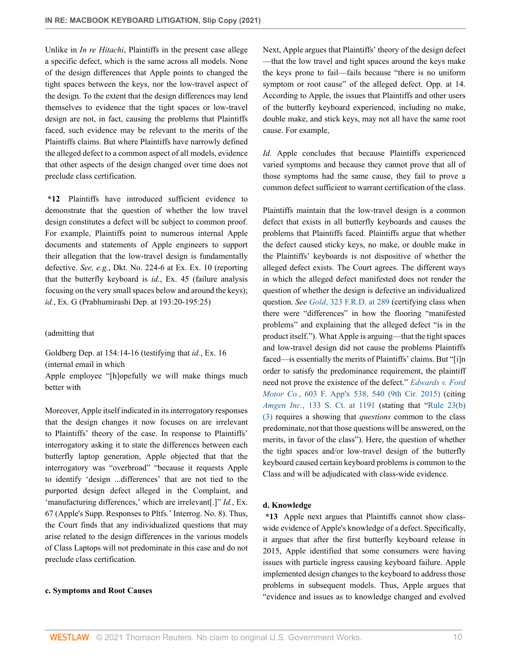Unlike in *In re Hitachi*, Plaintiffs in the present case allege a specific defect, which is the same across all models. None of the design differences that Apple points to changed the tight spaces between the keys, nor the low-travel aspect of the design. To the extent that the design differences may lend themselves to evidence that the tight spaces or low-travel design are not, in fact, causing the problems that Plaintiffs faced, such evidence may be relevant to the merits of the Plaintiffs claims. But where Plaintiffs have narrowly defined the alleged defect to a common aspect of all models, evidence that other aspects of the design changed over time does not preclude class certification.

**\*12** Plaintiffs have introduced sufficient evidence to demonstrate that the question of whether the low travel design constitutes a defect will be subject to common proof. For example, Plaintiffs point to numerous internal Apple documents and statements of Apple engineers to support their allegation that the low-travel design is fundamentally defective. *See, e.g.*, Dkt. No. 224-6 at Ex. Ex. 10 (reporting that the butterfly keyboard is *id.*, Ex. 45 (failure analysis focusing on the very small spaces below and around the keys); *id.*, Ex. G (Prabhumirashi Dep. at 193:20-195:25)

#### (admitting that

Goldberg Dep. at 154:14-16 (testifying that *id.*, Ex. 16 (internal email in which

Apple employee "[h]opefully we will make things much better with

Moreover, Apple itself indicated in its interrogatory responses that the design changes it now focuses on are irrelevant to Plaintiffs' theory of the case. In response to Plaintiffs' interrogatory asking it to state the differences between each butterfly laptop generation, Apple objected that that the interrogatory was "overbroad" "because it requests Apple to identify 'design ...differences' that are not tied to the purported design defect alleged in the Complaint, and 'manufacturing differences,' which are irrelevant[.]" *Id.*, Ex. 67 (Apple's Supp. Responses to Pltfs.' Interrog. No. 8). Thus, the Court finds that any individualized questions that may arise related to the design differences in the various models of Class Laptops will not predominate in this case and do not preclude class certification.

#### **c. Symptoms and Root Causes**

Next, Apple argues that Plaintiffs' theory of the design defect —that the low travel and tight spaces around the keys make the keys prone to fail—fails because "there is no uniform symptom or root cause" of the alleged defect. Opp. at 14. According to Apple, the issues that Plaintiffs and other users of the butterfly keyboard experienced, including no make, double make, and stick keys, may not all have the same root cause. For example,

*Id.* Apple concludes that because Plaintiffs experienced varied symptoms and because they cannot prove that all of those symptoms had the same cause, they fail to prove a common defect sufficient to warrant certification of the class.

Plaintiffs maintain that the low-travel design is a common defect that exists in all butterfly keyboards and causes the problems that Plaintiffs faced. Plaintiffs argue that whether the defect caused sticky keys, no make, or double make in the Plaintiffs' keyboards is not dispositive of whether the alleged defect exists. The Court agrees. The different ways in which the alleged defect manifested does not render the question of whether the design is defective an individualized question. *See Gold*[, 323 F.R.D. at 289](http://www.westlaw.com/Link/Document/FullText?findType=Y&serNum=2043208837&pubNum=0000344&originatingDoc=Ia6bed280969111ebbbbbabec583fa227&refType=RP&fi=co_pp_sp_344_289&originationContext=document&vr=3.0&rs=cblt1.0&transitionType=DocumentItem&contextData=(sc.Keycite)#co_pp_sp_344_289) (certifying class when there were "differences" in how the flooring "manifested problems" and explaining that the alleged defect "is in the product itself."). What Apple is arguing—that the tight spaces and low-travel design did not cause the problems Plaintiffs faced—is essentially the merits of Plaintiffs' claims. But "[i]n order to satisfy the predominance requirement, the plaintiff need not prove the existence of the defect." *[Edwards v. Ford](http://www.westlaw.com/Link/Document/FullText?findType=Y&serNum=2035530166&pubNum=0006538&originatingDoc=Ia6bed280969111ebbbbbabec583fa227&refType=RP&fi=co_pp_sp_6538_540&originationContext=document&vr=3.0&rs=cblt1.0&transitionType=DocumentItem&contextData=(sc.Keycite)#co_pp_sp_6538_540) Motor Co.*[, 603 F. App'x 538, 540 \(9th Cir. 2015\)](http://www.westlaw.com/Link/Document/FullText?findType=Y&serNum=2035530166&pubNum=0006538&originatingDoc=Ia6bed280969111ebbbbbabec583fa227&refType=RP&fi=co_pp_sp_6538_540&originationContext=document&vr=3.0&rs=cblt1.0&transitionType=DocumentItem&contextData=(sc.Keycite)#co_pp_sp_6538_540) (citing *Amgen Inc.*[, 133 S. Ct. at 1191](http://www.westlaw.com/Link/Document/FullText?findType=Y&serNum=2029946479&pubNum=0000708&originatingDoc=Ia6bed280969111ebbbbbabec583fa227&refType=RP&fi=co_pp_sp_708_1191&originationContext=document&vr=3.0&rs=cblt1.0&transitionType=DocumentItem&contextData=(sc.Keycite)#co_pp_sp_708_1191) (stating that "[Rule 23\(b\)](http://www.westlaw.com/Link/Document/FullText?findType=L&pubNum=1000600&cite=USFRCPR23&originatingDoc=Ia6bed280969111ebbbbbabec583fa227&refType=LQ&originationContext=document&vr=3.0&rs=cblt1.0&transitionType=DocumentItem&contextData=(sc.Keycite)) [\(3\)](http://www.westlaw.com/Link/Document/FullText?findType=L&pubNum=1000600&cite=USFRCPR23&originatingDoc=Ia6bed280969111ebbbbbabec583fa227&refType=LQ&originationContext=document&vr=3.0&rs=cblt1.0&transitionType=DocumentItem&contextData=(sc.Keycite)) requires a showing that *questions* common to the class predominate, not that those questions will be answered, on the merits, in favor of the class"). Here, the question of whether the tight spaces and/or low-travel design of the butterfly keyboard caused certain keyboard problems is common to the Class and will be adjudicated with class-wide evidence.

## **d. Knowledge**

**\*13** Apple next argues that Plaintiffs cannot show classwide evidence of Apple's knowledge of a defect. Specifically, it argues that after the first butterfly keyboard release in 2015, Apple identified that some consumers were having issues with particle ingress causing keyboard failure. Apple implemented design changes to the keyboard to address those problems in subsequent models. Thus, Apple argues that "evidence and issues as to knowledge changed and evolved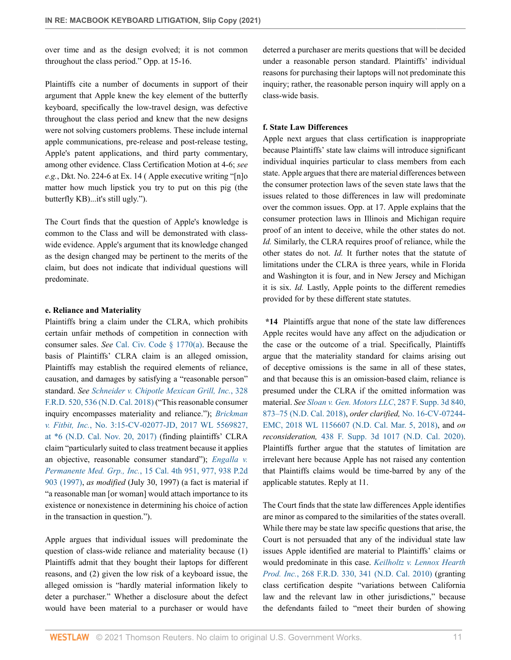over time and as the design evolved; it is not common throughout the class period." Opp. at 15-16.

Plaintiffs cite a number of documents in support of their argument that Apple knew the key element of the butterfly keyboard, specifically the low-travel design, was defective throughout the class period and knew that the new designs were not solving customers problems. These include internal apple communications, pre-release and post-release testing, Apple's patent applications, and third party commentary, among other evidence. Class Certification Motion at 4-6; *see e.g.*, Dkt. No. 224-6 at Ex. 14 ( Apple executive writing "[n]o matter how much lipstick you try to put on this pig (the butterfly KB)...it's still ugly.").

The Court finds that the question of Apple's knowledge is common to the Class and will be demonstrated with classwide evidence. Apple's argument that its knowledge changed as the design changed may be pertinent to the merits of the claim, but does not indicate that individual questions will predominate.

#### **e. Reliance and Materiality**

Plaintiffs bring a claim under the CLRA, which prohibits certain unfair methods of competition in connection with consumer sales. *See* [Cal. Civ. Code § 1770\(a\)](http://www.westlaw.com/Link/Document/FullText?findType=L&pubNum=1000200&cite=CACIS1770&originatingDoc=Ia6bed280969111ebbbbbabec583fa227&refType=SP&originationContext=document&vr=3.0&rs=cblt1.0&transitionType=DocumentItem&contextData=(sc.Keycite)#co_pp_8b3b0000958a4). Because the basis of Plaintiffs' CLRA claim is an alleged omission, Plaintiffs may establish the required elements of reliance, causation, and damages by satisfying a "reasonable person" standard. *See [Schneider v. Chipotle Mexican Grill, Inc.](http://www.westlaw.com/Link/Document/FullText?findType=Y&serNum=2045625174&pubNum=0000344&originatingDoc=Ia6bed280969111ebbbbbabec583fa227&refType=RP&fi=co_pp_sp_344_536&originationContext=document&vr=3.0&rs=cblt1.0&transitionType=DocumentItem&contextData=(sc.Keycite)#co_pp_sp_344_536)*, 328 [F.R.D. 520, 536 \(N.D. Cal. 2018\)](http://www.westlaw.com/Link/Document/FullText?findType=Y&serNum=2045625174&pubNum=0000344&originatingDoc=Ia6bed280969111ebbbbbabec583fa227&refType=RP&fi=co_pp_sp_344_536&originationContext=document&vr=3.0&rs=cblt1.0&transitionType=DocumentItem&contextData=(sc.Keycite)#co_pp_sp_344_536) ("This reasonable consumer inquiry encompasses materiality and reliance."); *[Brickman](http://www.westlaw.com/Link/Document/FullText?findType=Y&serNum=2043219763&pubNum=0000999&originatingDoc=Ia6bed280969111ebbbbbabec583fa227&refType=RP&originationContext=document&vr=3.0&rs=cblt1.0&transitionType=DocumentItem&contextData=(sc.Keycite)) v. Fitbit, Inc.*[, No. 3:15-CV-02077-JD, 2017 WL 5569827,](http://www.westlaw.com/Link/Document/FullText?findType=Y&serNum=2043219763&pubNum=0000999&originatingDoc=Ia6bed280969111ebbbbbabec583fa227&refType=RP&originationContext=document&vr=3.0&rs=cblt1.0&transitionType=DocumentItem&contextData=(sc.Keycite)) [at \\*6 \(N.D. Cal. Nov. 20, 2017\)](http://www.westlaw.com/Link/Document/FullText?findType=Y&serNum=2043219763&pubNum=0000999&originatingDoc=Ia6bed280969111ebbbbbabec583fa227&refType=RP&originationContext=document&vr=3.0&rs=cblt1.0&transitionType=DocumentItem&contextData=(sc.Keycite)) (finding plaintiffs' CLRA claim "particularly suited to class treatment because it applies an objective, reasonable consumer standard"); *[Engalla v.](http://www.westlaw.com/Link/Document/FullText?findType=Y&serNum=1997137898&pubNum=0004040&originatingDoc=Ia6bed280969111ebbbbbabec583fa227&refType=RP&fi=co_pp_sp_4040_977&originationContext=document&vr=3.0&rs=cblt1.0&transitionType=DocumentItem&contextData=(sc.Keycite)#co_pp_sp_4040_977) Permanente Med. Grp., Inc.*[, 15 Cal. 4th 951, 977, 938 P.2d](http://www.westlaw.com/Link/Document/FullText?findType=Y&serNum=1997137898&pubNum=0004040&originatingDoc=Ia6bed280969111ebbbbbabec583fa227&refType=RP&fi=co_pp_sp_4040_977&originationContext=document&vr=3.0&rs=cblt1.0&transitionType=DocumentItem&contextData=(sc.Keycite)#co_pp_sp_4040_977) [903 \(1997\)](http://www.westlaw.com/Link/Document/FullText?findType=Y&serNum=1997137898&pubNum=0004040&originatingDoc=Ia6bed280969111ebbbbbabec583fa227&refType=RP&fi=co_pp_sp_4040_977&originationContext=document&vr=3.0&rs=cblt1.0&transitionType=DocumentItem&contextData=(sc.Keycite)#co_pp_sp_4040_977), *as modified* (July 30, 1997) (a fact is material if "a reasonable man [or woman] would attach importance to its existence or nonexistence in determining his choice of action in the transaction in question.").

Apple argues that individual issues will predominate the question of class-wide reliance and materiality because (1) Plaintiffs admit that they bought their laptops for different reasons, and (2) given the low risk of a keyboard issue, the alleged omission is "hardly material information likely to deter a purchaser." Whether a disclosure about the defect would have been material to a purchaser or would have

deterred a purchaser are merits questions that will be decided under a reasonable person standard. Plaintiffs' individual reasons for purchasing their laptops will not predominate this inquiry; rather, the reasonable person inquiry will apply on a class-wide basis.

#### **f. State Law Differences**

Apple next argues that class certification is inappropriate because Plaintiffs' state law claims will introduce significant individual inquiries particular to class members from each state. Apple argues that there are material differences between the consumer protection laws of the seven state laws that the issues related to those differences in law will predominate over the common issues. Opp. at 17. Apple explains that the consumer protection laws in Illinois and Michigan require proof of an intent to deceive, while the other states do not. *Id.* Similarly, the CLRA requires proof of reliance, while the other states do not. *Id.* It further notes that the statute of limitations under the CLRA is three years, while in Florida and Washington it is four, and in New Jersey and Michigan it is six. *Id.* Lastly, Apple points to the different remedies provided for by these different state statutes.

**\*14** Plaintiffs argue that none of the state law differences Apple recites would have any affect on the adjudication or the case or the outcome of a trial. Specifically, Plaintiffs argue that the materiality standard for claims arising out of deceptive omissions is the same in all of these states, and that because this is an omission-based claim, reliance is presumed under the CLRA if the omitted information was material. *See [Sloan v. Gen. Motors LLC](http://www.westlaw.com/Link/Document/FullText?findType=Y&serNum=2043779932&pubNum=0007903&originatingDoc=Ia6bed280969111ebbbbbabec583fa227&refType=RP&fi=co_pp_sp_7903_873&originationContext=document&vr=3.0&rs=cblt1.0&transitionType=DocumentItem&contextData=(sc.Keycite)#co_pp_sp_7903_873)*, 287 F. Supp. 3d 840, [873–75 \(N.D. Cal. 2018\)](http://www.westlaw.com/Link/Document/FullText?findType=Y&serNum=2043779932&pubNum=0007903&originatingDoc=Ia6bed280969111ebbbbbabec583fa227&refType=RP&fi=co_pp_sp_7903_873&originationContext=document&vr=3.0&rs=cblt1.0&transitionType=DocumentItem&contextData=(sc.Keycite)#co_pp_sp_7903_873), *order clarified,* [No. 16-CV-07244-](http://www.westlaw.com/Link/Document/FullText?findType=Y&serNum=2043947119&pubNum=0000999&originatingDoc=Ia6bed280969111ebbbbbabec583fa227&refType=RP&originationContext=document&vr=3.0&rs=cblt1.0&transitionType=DocumentItem&contextData=(sc.Keycite)) [EMC, 2018 WL 1156607 \(N.D. Cal. Mar. 5, 2018\)](http://www.westlaw.com/Link/Document/FullText?findType=Y&serNum=2043947119&pubNum=0000999&originatingDoc=Ia6bed280969111ebbbbbabec583fa227&refType=RP&originationContext=document&vr=3.0&rs=cblt1.0&transitionType=DocumentItem&contextData=(sc.Keycite)), and *on reconsideration,* [438 F. Supp. 3d 1017 \(N.D. Cal. 2020\).](http://www.westlaw.com/Link/Document/FullText?findType=Y&serNum=2050341785&pubNum=0007903&originatingDoc=Ia6bed280969111ebbbbbabec583fa227&refType=RP&originationContext=document&vr=3.0&rs=cblt1.0&transitionType=DocumentItem&contextData=(sc.Keycite)) Plaintiffs further argue that the statutes of limitation are irrelevant here because Apple has not raised any contention that Plaintiffs claims would be time-barred by any of the applicable statutes. Reply at 11.

The Court finds that the state law differences Apple identifies are minor as compared to the similarities of the states overall. While there may be state law specific questions that arise, the Court is not persuaded that any of the individual state law issues Apple identified are material to Plaintiffs' claims or would predominate in this case. *[Keilholtz v. Lennox Hearth](http://www.westlaw.com/Link/Document/FullText?findType=Y&serNum=2021436455&pubNum=0000344&originatingDoc=Ia6bed280969111ebbbbbabec583fa227&refType=RP&fi=co_pp_sp_344_341&originationContext=document&vr=3.0&rs=cblt1.0&transitionType=DocumentItem&contextData=(sc.Keycite)#co_pp_sp_344_341) Prod. Inc.*[, 268 F.R.D. 330, 341 \(N.D. Cal. 2010\)](http://www.westlaw.com/Link/Document/FullText?findType=Y&serNum=2021436455&pubNum=0000344&originatingDoc=Ia6bed280969111ebbbbbabec583fa227&refType=RP&fi=co_pp_sp_344_341&originationContext=document&vr=3.0&rs=cblt1.0&transitionType=DocumentItem&contextData=(sc.Keycite)#co_pp_sp_344_341) (granting class certification despite "variations between California law and the relevant law in other jurisdictions," because the defendants failed to "meet their burden of showing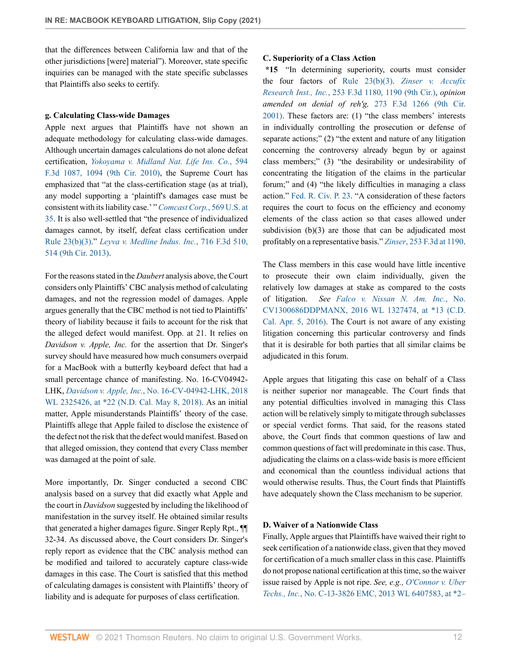that the differences between California law and that of the other jurisdictions [were] material"). Moreover, state specific inquiries can be managed with the state specific subclasses that Plaintiffs also seeks to certify.

#### **g. Calculating Class-wide Damages**

Apple next argues that Plaintiffs have not shown an adequate methodology for calculating class-wide damages. Although uncertain damages calculations do not alone defeat certification, *[Yokoyama v. Midland Nat. Life Ins. Co.](http://www.westlaw.com/Link/Document/FullText?findType=Y&serNum=2021308397&pubNum=0000506&originatingDoc=Ia6bed280969111ebbbbbabec583fa227&refType=RP&fi=co_pp_sp_506_1094&originationContext=document&vr=3.0&rs=cblt1.0&transitionType=DocumentItem&contextData=(sc.Keycite)#co_pp_sp_506_1094)*, 594 [F.3d 1087, 1094 \(9th Cir. 2010\),](http://www.westlaw.com/Link/Document/FullText?findType=Y&serNum=2021308397&pubNum=0000506&originatingDoc=Ia6bed280969111ebbbbbabec583fa227&refType=RP&fi=co_pp_sp_506_1094&originationContext=document&vr=3.0&rs=cblt1.0&transitionType=DocumentItem&contextData=(sc.Keycite)#co_pp_sp_506_1094) the Supreme Court has emphasized that "at the class-certification stage (as at trial), any model supporting a 'plaintiff's damages case must be consistent with its liability case.' " *[Comcast Corp.](http://www.westlaw.com/Link/Document/FullText?findType=Y&serNum=2030224700&pubNum=0000780&originatingDoc=Ia6bed280969111ebbbbbabec583fa227&refType=RP&fi=co_pp_sp_780_35&originationContext=document&vr=3.0&rs=cblt1.0&transitionType=DocumentItem&contextData=(sc.Keycite)#co_pp_sp_780_35)*, 569 U.S. at [35](http://www.westlaw.com/Link/Document/FullText?findType=Y&serNum=2030224700&pubNum=0000780&originatingDoc=Ia6bed280969111ebbbbbabec583fa227&refType=RP&fi=co_pp_sp_780_35&originationContext=document&vr=3.0&rs=cblt1.0&transitionType=DocumentItem&contextData=(sc.Keycite)#co_pp_sp_780_35). It is also well-settled that "the presence of individualized damages cannot, by itself, defeat class certification under [Rule 23\(b\)\(3\)](http://www.westlaw.com/Link/Document/FullText?findType=L&pubNum=1000600&cite=USFRCPR23&originatingDoc=Ia6bed280969111ebbbbbabec583fa227&refType=LQ&originationContext=document&vr=3.0&rs=cblt1.0&transitionType=DocumentItem&contextData=(sc.Keycite))." *[Leyva v. Medline Indus. Inc.](http://www.westlaw.com/Link/Document/FullText?findType=Y&serNum=2030618721&pubNum=0000506&originatingDoc=Ia6bed280969111ebbbbbabec583fa227&refType=RP&fi=co_pp_sp_506_514&originationContext=document&vr=3.0&rs=cblt1.0&transitionType=DocumentItem&contextData=(sc.Keycite)#co_pp_sp_506_514)*, 716 F.3d 510, [514 \(9th Cir. 2013\).](http://www.westlaw.com/Link/Document/FullText?findType=Y&serNum=2030618721&pubNum=0000506&originatingDoc=Ia6bed280969111ebbbbbabec583fa227&refType=RP&fi=co_pp_sp_506_514&originationContext=document&vr=3.0&rs=cblt1.0&transitionType=DocumentItem&contextData=(sc.Keycite)#co_pp_sp_506_514)

For the reasons stated in the *Daubert* analysis above, the Court considers only Plaintiffs' CBC analysis method of calculating damages, and not the regression model of damages. Apple argues generally that the CBC method is not tied to Plaintiffs' theory of liability because it fails to account for the risk that the alleged defect would manifest. Opp. at 21. It relies on *Davidson v. Apple, Inc.* for the assertion that Dr. Singer's survey should have measured how much consumers overpaid for a MacBook with a butterfly keyboard defect that had a small percentage chance of manifesting. No. 16-CV04942- LHK, *Davidson v. Apple, Inc.*[, No. 16-CV-04942-LHK, 2018](http://www.westlaw.com/Link/Document/FullText?findType=Y&serNum=2044587493&pubNum=0000999&originatingDoc=Ia6bed280969111ebbbbbabec583fa227&refType=RP&originationContext=document&vr=3.0&rs=cblt1.0&transitionType=DocumentItem&contextData=(sc.Keycite)) [WL 2325426, at \\*22 \(N.D. Cal. May 8, 2018\).](http://www.westlaw.com/Link/Document/FullText?findType=Y&serNum=2044587493&pubNum=0000999&originatingDoc=Ia6bed280969111ebbbbbabec583fa227&refType=RP&originationContext=document&vr=3.0&rs=cblt1.0&transitionType=DocumentItem&contextData=(sc.Keycite)) As an initial matter, Apple misunderstands Plaintiffs' theory of the case. Plaintiffs allege that Apple failed to disclose the existence of the defect not the risk that the defect would manifest. Based on that alleged omission, they contend that every Class member was damaged at the point of sale.

More importantly, Dr. Singer conducted a second CBC analysis based on a survey that did exactly what Apple and the court in *Davidson* suggested by including the likelihood of manifestation in the survey itself. He obtained similar results that generated a higher damages figure. Singer Reply Rpt., ¶¶ 32-34. As discussed above, the Court considers Dr. Singer's reply report as evidence that the CBC analysis method can be modified and tailored to accurately capture class-wide damages in this case. The Court is satisfied that this method of calculating damages is consistent with Plaintiffs' theory of liability and is adequate for purposes of class certification.

#### **C. Superiority of a Class Action**

**\*15** "In determining superiority, courts must consider the four factors of [Rule 23\(b\)\(3\)](http://www.westlaw.com/Link/Document/FullText?findType=L&pubNum=1000600&cite=USFRCPR23&originatingDoc=Ia6bed280969111ebbbbbabec583fa227&refType=LQ&originationContext=document&vr=3.0&rs=cblt1.0&transitionType=DocumentItem&contextData=(sc.Keycite)). *[Zinser v. Accufix](http://www.westlaw.com/Link/Document/FullText?findType=Y&serNum=2001517832&pubNum=0000506&originatingDoc=Ia6bed280969111ebbbbbabec583fa227&refType=RP&fi=co_pp_sp_506_1190&originationContext=document&vr=3.0&rs=cblt1.0&transitionType=DocumentItem&contextData=(sc.Keycite)#co_pp_sp_506_1190) Research Inst., Inc.*[, 253 F.3d 1180, 1190 \(9th Cir.\),](http://www.westlaw.com/Link/Document/FullText?findType=Y&serNum=2001517832&pubNum=0000506&originatingDoc=Ia6bed280969111ebbbbbabec583fa227&refType=RP&fi=co_pp_sp_506_1190&originationContext=document&vr=3.0&rs=cblt1.0&transitionType=DocumentItem&contextData=(sc.Keycite)#co_pp_sp_506_1190) *opinion amended on denial of reh'g,* [273 F.3d 1266 \(9th Cir.](http://www.westlaw.com/Link/Document/FullText?findType=Y&serNum=2001547122&pubNum=0000506&originatingDoc=Ia6bed280969111ebbbbbabec583fa227&refType=RP&originationContext=document&vr=3.0&rs=cblt1.0&transitionType=DocumentItem&contextData=(sc.Keycite)) [2001\)](http://www.westlaw.com/Link/Document/FullText?findType=Y&serNum=2001547122&pubNum=0000506&originatingDoc=Ia6bed280969111ebbbbbabec583fa227&refType=RP&originationContext=document&vr=3.0&rs=cblt1.0&transitionType=DocumentItem&contextData=(sc.Keycite)). These factors are: (1) "the class members' interests in individually controlling the prosecution or defense of separate actions;" (2) "the extent and nature of any litigation concerning the controversy already begun by or against class members;" (3) "the desirability or undesirability of concentrating the litigation of the claims in the particular forum;" and (4) "the likely difficulties in managing a class action." [Fed. R. Civ. P. 23](http://www.westlaw.com/Link/Document/FullText?findType=L&pubNum=1000600&cite=USFRCPR23&originatingDoc=Ia6bed280969111ebbbbbabec583fa227&refType=LQ&originationContext=document&vr=3.0&rs=cblt1.0&transitionType=DocumentItem&contextData=(sc.Keycite)). "A consideration of these factors requires the court to focus on the efficiency and economy elements of the class action so that cases allowed under subdivision (b)(3) are those that can be adjudicated most profitably on a representative basis." *Zinser*[, 253 F.3d at 1190.](http://www.westlaw.com/Link/Document/FullText?findType=Y&serNum=2001517832&pubNum=0000506&originatingDoc=Ia6bed280969111ebbbbbabec583fa227&refType=RP&fi=co_pp_sp_506_1190&originationContext=document&vr=3.0&rs=cblt1.0&transitionType=DocumentItem&contextData=(sc.Keycite)#co_pp_sp_506_1190)

The Class members in this case would have little incentive to prosecute their own claim individually, given the relatively low damages at stake as compared to the costs of litigation. *See [Falco v. Nissan N. Am. Inc.](http://www.westlaw.com/Link/Document/FullText?findType=Y&serNum=2038611558&pubNum=0000999&originatingDoc=Ia6bed280969111ebbbbbabec583fa227&refType=RP&originationContext=document&vr=3.0&rs=cblt1.0&transitionType=DocumentItem&contextData=(sc.Keycite))*, No. [CV1300686DDPMANX, 2016 WL 1327474, at \\*13 \(C.D.](http://www.westlaw.com/Link/Document/FullText?findType=Y&serNum=2038611558&pubNum=0000999&originatingDoc=Ia6bed280969111ebbbbbabec583fa227&refType=RP&originationContext=document&vr=3.0&rs=cblt1.0&transitionType=DocumentItem&contextData=(sc.Keycite)) [Cal. Apr. 5, 2016\).](http://www.westlaw.com/Link/Document/FullText?findType=Y&serNum=2038611558&pubNum=0000999&originatingDoc=Ia6bed280969111ebbbbbabec583fa227&refType=RP&originationContext=document&vr=3.0&rs=cblt1.0&transitionType=DocumentItem&contextData=(sc.Keycite)) The Court is not aware of any existing litigation concerning this particular controversy and finds that it is desirable for both parties that all similar claims be adjudicated in this forum.

Apple argues that litigating this case on behalf of a Class is neither superior nor manageable. The Court finds that any potential difficulties involved in managing this Class action will be relatively simply to mitigate through subclasses or special verdict forms. That said, for the reasons stated above, the Court finds that common questions of law and common questions of fact will predominate in this case. Thus, adjudicating the claims on a class-wide basis is more efficient and economical than the countless individual actions that would otherwise results. Thus, the Court finds that Plaintiffs have adequately shown the Class mechanism to be superior.

#### **D. Waiver of a Nationwide Class**

Finally, Apple argues that Plaintiffs have waived their right to seek certification of a nationwide class, given that they moved for certification of a much smaller class in this case. Plaintiffs do not propose national certification at this time, so the waiver issue raised by Apple is not ripe. *See, e.g., [O'Connor v. Uber](http://www.westlaw.com/Link/Document/FullText?findType=Y&serNum=2032242623&pubNum=0000999&originatingDoc=Ia6bed280969111ebbbbbabec583fa227&refType=RP&originationContext=document&vr=3.0&rs=cblt1.0&transitionType=DocumentItem&contextData=(sc.Keycite)) Techs., Inc.*[, No. C-13-3826 EMC, 2013 WL 6407583, at \\*2–](http://www.westlaw.com/Link/Document/FullText?findType=Y&serNum=2032242623&pubNum=0000999&originatingDoc=Ia6bed280969111ebbbbbabec583fa227&refType=RP&originationContext=document&vr=3.0&rs=cblt1.0&transitionType=DocumentItem&contextData=(sc.Keycite))